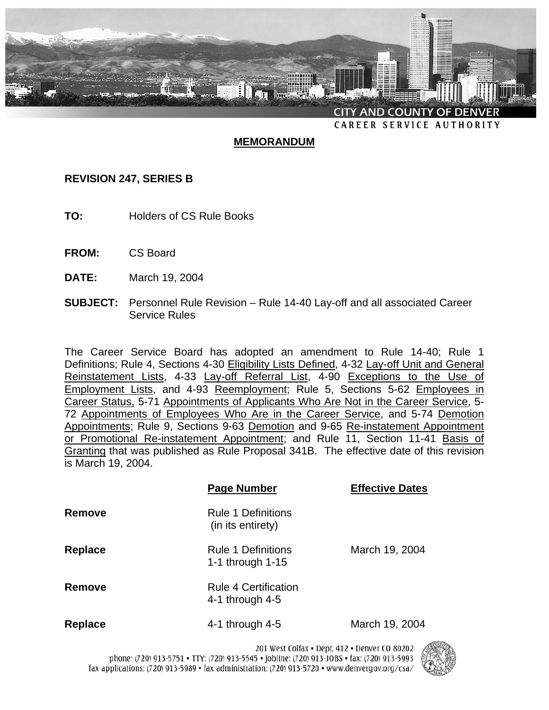

# **MEMORANDUM**

# **REVISION 247, SERIES B**

- **TO:** Holders of CS Rule Books
- **FROM:** CS Board
- **DATE:** March 19, 2004
- **SUBJECT:** Personnel Rule Revision Rule 14-40 Lay-off and all associated Career Service Rules

The Career Service Board has adopted an amendment to Rule 14-40; Rule 1 Definitions; Rule 4, Sections 4-30 Eligibility Lists Defined, 4-32 Lay-off Unit and General Reinstatement Lists, 4-33 Lay-off Referral List, 4-90 Exceptions to the Use of Employment Lists, and 4-93 Reemployment; Rule 5, Sections 5-62 Employees in Career Status, 5-71 Appointments of Applicants Who Are Not in the Career Service, 5- 72 Appointments of Employees Who Are in the Career Service, and 5-74 Demotion Appointments; Rule 9, Sections 9-63 Demotion and 9-65 Re-instatement Appointment or Promotional Re-instatement Appointment; and Rule 11, Section 11-41 Basis of Granting that was published as Rule Proposal 341B. The effective date of this revision is March 19, 2004.

|                | <b>Page Number</b>                              | <b>Effective Dates</b> |
|----------------|-------------------------------------------------|------------------------|
| Remove         | <b>Rule 1 Definitions</b><br>(in its entirety)  |                        |
| <b>Replace</b> | <b>Rule 1 Definitions</b><br>1-1 through $1-15$ | March 19, 2004         |
| Remove         | Rule 4 Certification<br>4-1 through $4-5$       |                        |
| <b>Replace</b> | 4-1 through $4-5$                               | March 19, 2004         |

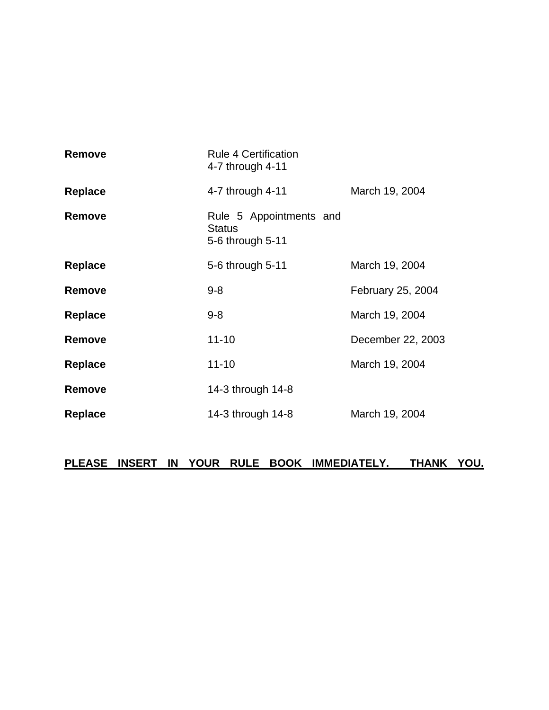| <b>Rule 4 Certification</b><br>4-7 through 4-11              |                   |
|--------------------------------------------------------------|-------------------|
| 4-7 through 4-11                                             | March 19, 2004    |
| Rule 5 Appointments and<br><b>Status</b><br>5-6 through 5-11 |                   |
| 5-6 through 5-11                                             | March 19, 2004    |
| $9 - 8$                                                      | February 25, 2004 |
| $9 - 8$                                                      | March 19, 2004    |
| $11 - 10$                                                    | December 22, 2003 |
| $11 - 10$                                                    | March 19, 2004    |
| 14-3 through 14-8                                            |                   |
| 14-3 through 14-8                                            | March 19, 2004    |
|                                                              |                   |

# **PLEASE INSERT IN YOUR RULE BOOK IMMEDIATELY. THANK YOU.**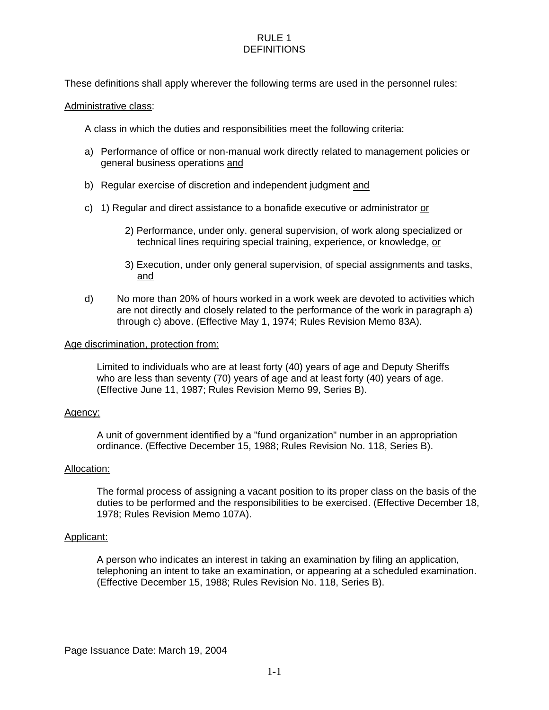# RULE 1 **DEFINITIONS**

These definitions shall apply wherever the following terms are used in the personnel rules:

### Administrative class:

A class in which the duties and responsibilities meet the following criteria:

- a) Performance of office or non-manual work directly related to management policies or general business operations and
- b) Regular exercise of discretion and independent judgment and
- c) 1) Regular and direct assistance to a bonafide executive or administrator or
	- 2) Performance, under only. general supervision, of work along specialized or technical lines requiring special training, experience, or knowledge, or
	- 3) Execution, under only general supervision, of special assignments and tasks, and
- d) No more than 20% of hours worked in a work week are devoted to activities which are not directly and closely related to the performance of the work in paragraph a) through c) above. (Effective May 1, 1974; Rules Revision Memo 83A).

### Age discrimination, protection from:

Limited to individuals who are at least forty (40) years of age and Deputy Sheriffs who are less than seventy (70) years of age and at least forty (40) years of age. (Effective June 11, 1987; Rules Revision Memo 99, Series B).

### Agency:

A unit of government identified by a "fund organization" number in an appropriation ordinance. (Effective December 15, 1988; Rules Revision No. 118, Series B).

### Allocation:

The formal process of assigning a vacant position to its proper class on the basis of the duties to be performed and the responsibilities to be exercised. (Effective December 18, 1978; Rules Revision Memo 107A).

### Applicant:

A person who indicates an interest in taking an examination by filing an application, telephoning an intent to take an examination, or appearing at a scheduled examination. (Effective December 15, 1988; Rules Revision No. 118, Series B).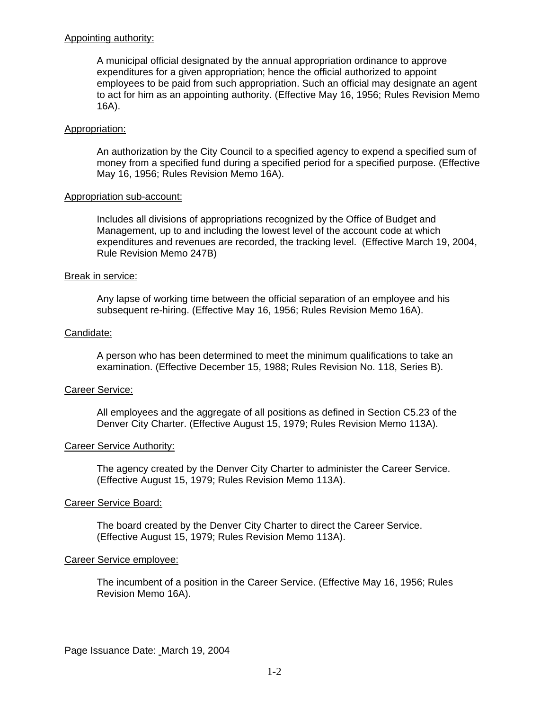### Appointing authority:

A municipal official designated by the annual appropriation ordinance to approve expenditures for a given appropriation; hence the official authorized to appoint employees to be paid from such appropriation. Such an official may designate an agent to act for him as an appointing authority. (Effective May 16, 1956; Rules Revision Memo 16A).

### Appropriation:

An authorization by the City Council to a specified agency to expend a specified sum of money from a specified fund during a specified period for a specified purpose. (Effective May 16, 1956; Rules Revision Memo 16A).

#### Appropriation sub-account:

Includes all divisions of appropriations recognized by the Office of Budget and Management, up to and including the lowest level of the account code at which expenditures and revenues are recorded, the tracking level. (Effective March 19, 2004, Rule Revision Memo 247B)

#### Break in service:

Any lapse of working time between the official separation of an employee and his subsequent re-hiring. (Effective May 16, 1956; Rules Revision Memo 16A).

### Candidate:

A person who has been determined to meet the minimum qualifications to take an examination. (Effective December 15, 1988; Rules Revision No. 118, Series B).

### Career Service:

All employees and the aggregate of all positions as defined in Section C5.23 of the Denver City Charter. (Effective August 15, 1979; Rules Revision Memo 113A).

### Career Service Authority:

The agency created by the Denver City Charter to administer the Career Service. (Effective August 15, 1979; Rules Revision Memo 113A).

# Career Service Board:

The board created by the Denver City Charter to direct the Career Service. (Effective August 15, 1979; Rules Revision Memo 113A).

### Career Service employee:

The incumbent of a position in the Career Service. (Effective May 16, 1956; Rules Revision Memo 16A).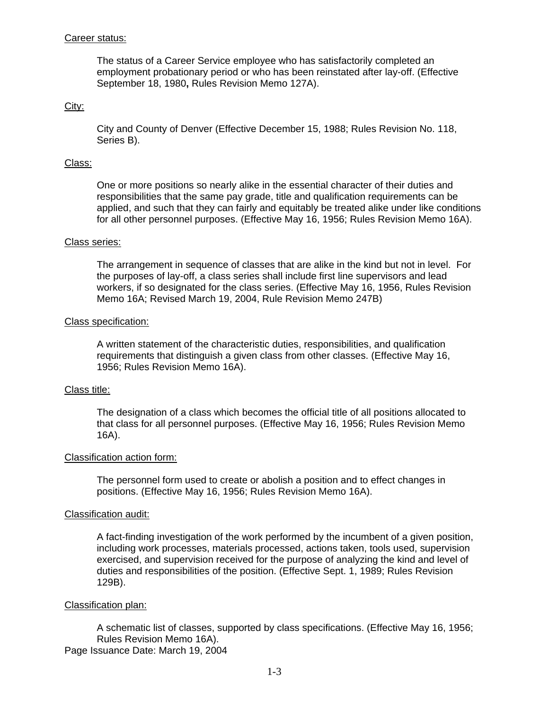### Career status:

The status of a Career Service employee who has satisfactorily completed an employment probationary period or who has been reinstated after lay-off. (Effective September 18, 1980**,** Rules Revision Memo 127A).

### City:

City and County of Denver (Effective December 15, 1988; Rules Revision No. 118, Series B).

### Class:

One or more positions so nearly alike in the essential character of their duties and responsibilities that the same pay grade, title and qualification requirements can be applied, and such that they can fairly and equitably be treated alike under like conditions for all other personnel purposes. (Effective May 16, 1956; Rules Revision Memo 16A).

#### Class series:

The arrangement in sequence of classes that are alike in the kind but not in level. For the purposes of lay-off, a class series shall include first line supervisors and lead workers, if so designated for the class series. (Effective May 16, 1956, Rules Revision Memo 16A; Revised March 19, 2004, Rule Revision Memo 247B)

#### Class specification:

A written statement of the characteristic duties, responsibilities, and qualification requirements that distinguish a given class from other classes. (Effective May 16, 1956; Rules Revision Memo 16A).

#### Class title:

The designation of a class which becomes the official title of all positions allocated to that class for all personnel purposes. (Effective May 16, 1956; Rules Revision Memo 16A).

### Classification action form:

The personnel form used to create or abolish a position and to effect changes in positions. (Effective May 16, 1956; Rules Revision Memo 16A).

#### Classification audit:

A fact-finding investigation of the work performed by the incumbent of a given position, including work processes, materials processed, actions taken, tools used, supervision exercised, and supervision received for the purpose of analyzing the kind and level of duties and responsibilities of the position. (Effective Sept. 1, 1989; Rules Revision 129B).

#### Classification plan:

A schematic list of classes, supported by class specifications. (Effective May 16, 1956; Rules Revision Memo 16A).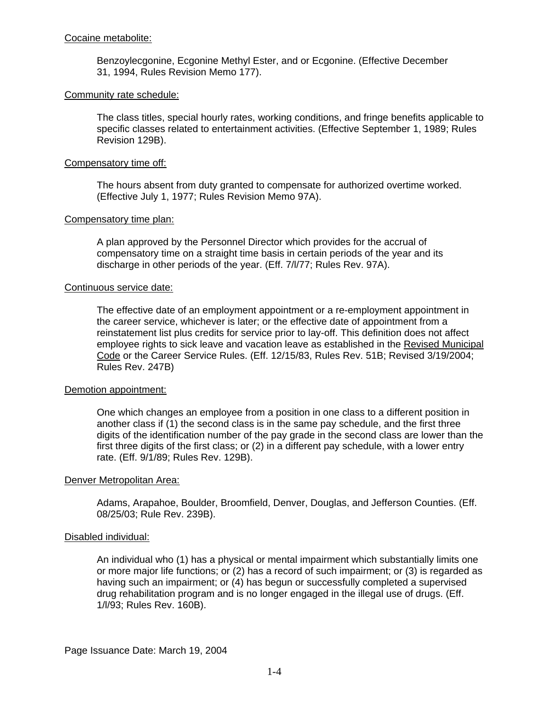### Cocaine metabolite:

Benzoylecgonine, Ecgonine Methyl Ester, and or Ecgonine. (Effective December 31, 1994, Rules Revision Memo 177).

### Community rate schedule:

The class titles, special hourly rates, working conditions, and fringe benefits applicable to specific classes related to entertainment activities. (Effective September 1, 1989; Rules Revision 129B).

### Compensatory time off:

The hours absent from duty granted to compensate for authorized overtime worked. (Effective July 1, 1977; Rules Revision Memo 97A).

### Compensatory time plan:

A plan approved by the Personnel Director which provides for the accrual of compensatory time on a straight time basis in certain periods of the year and its discharge in other periods of the year. (Eff. 7/l/77; Rules Rev. 97A).

#### Continuous service date:

The effective date of an employment appointment or a re-employment appointment in the career service, whichever is later; or the effective date of appointment from a reinstatement list plus credits for service prior to lay-off. This definition does not affect employee rights to sick leave and vacation leave as established in the Revised Municipal Code or the Career Service Rules. (Eff. 12/15/83, Rules Rev. 51B; Revised 3/19/2004; Rules Rev. 247B)

#### Demotion appointment:

One which changes an employee from a position in one class to a different position in another class if (1) the second class is in the same pay schedule, and the first three digits of the identification number of the pay grade in the second class are lower than the first three digits of the first class; or (2) in a different pay schedule, with a lower entry rate. (Eff. 9/1/89; Rules Rev. 129B).

### Denver Metropolitan Area:

Adams, Arapahoe, Boulder, Broomfield, Denver, Douglas, and Jefferson Counties. (Eff. 08/25/03; Rule Rev. 239B).

### Disabled individual:

An individual who (1) has a physical or mental impairment which substantially limits one or more major life functions; or (2) has a record of such impairment; or (3) is regarded as having such an impairment; or (4) has begun or successfully completed a supervised drug rehabilitation program and is no longer engaged in the illegal use of drugs. (Eff. 1/l/93; Rules Rev. 160B).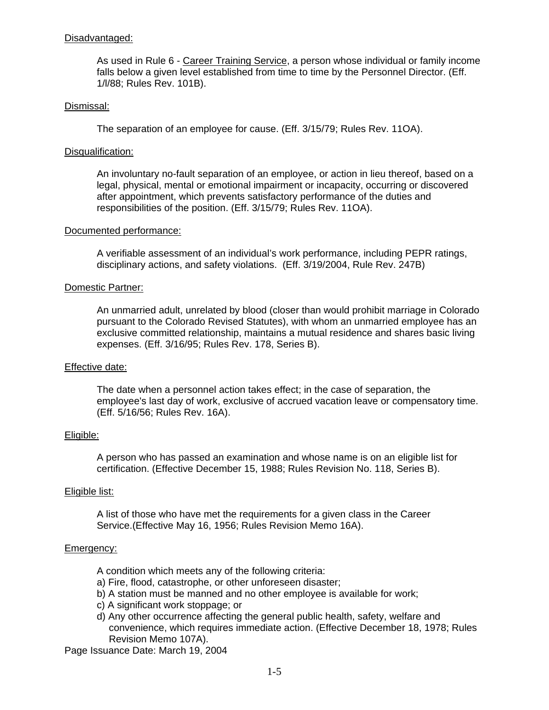### Disadvantaged:

As used in Rule 6 - Career Training Service, a person whose individual or family income falls below a given level established from time to time by the Personnel Director. (Eff. 1/l/88; Rules Rev. 101B).

### Dismissal:

The separation of an employee for cause. (Eff. 3/15/79; Rules Rev. 11OA).

### Disqualification:

An involuntary no-fault separation of an employee, or action in lieu thereof, based on a legal, physical, mental or emotional impairment or incapacity, occurring or discovered after appointment, which prevents satisfactory performance of the duties and responsibilities of the position. (Eff. 3/15/79; Rules Rev. 11OA).

### Documented performance:

A verifiable assessment of an individual's work performance, including PEPR ratings, disciplinary actions, and safety violations. (Eff. 3/19/2004, Rule Rev. 247B)

### Domestic Partner:

An unmarried adult, unrelated by blood (closer than would prohibit marriage in Colorado pursuant to the Colorado Revised Statutes), with whom an unmarried employee has an exclusive committed relationship, maintains a mutual residence and shares basic living expenses. (Eff. 3/16/95; Rules Rev. 178, Series B).

### Effective date:

The date when a personnel action takes effect; in the case of separation, the employee's last day of work, exclusive of accrued vacation leave or compensatory time. (Eff. 5/16/56; Rules Rev. 16A).

### Eligible:

A person who has passed an examination and whose name is on an eligible list for certification. (Effective December 15, 1988; Rules Revision No. 118, Series B).

### Eligible list:

A list of those who have met the requirements for a given class in the Career Service.(Effective May 16, 1956; Rules Revision Memo 16A).

### Emergency:

- A condition which meets any of the following criteria:
- a) Fire, flood, catastrophe, or other unforeseen disaster;
- b) A station must be manned and no other employee is available for work;
- c) A significant work stoppage; or
- d) Any other occurrence affecting the general public health, safety, welfare and convenience, which requires immediate action. (Effective December 18, 1978; Rules Revision Memo 107A).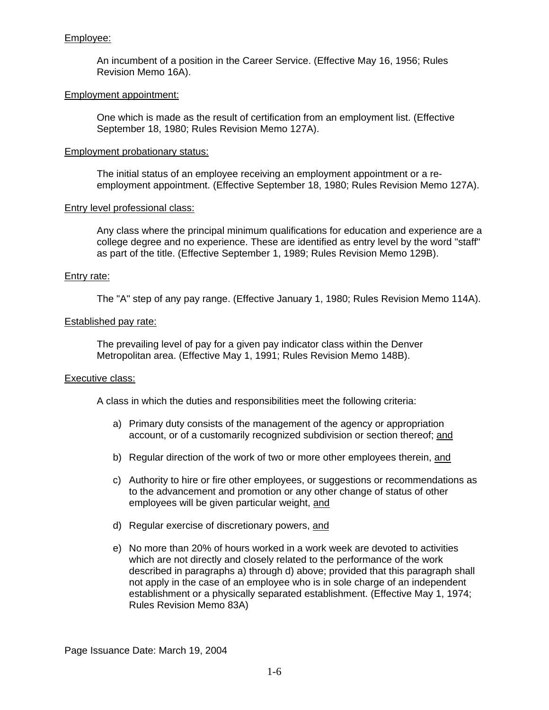# Employee:

An incumbent of a position in the Career Service. (Effective May 16, 1956; Rules Revision Memo 16A).

### Employment appointment:

One which is made as the result of certification from an employment list. (Effective September 18, 1980; Rules Revision Memo 127A).

### Employment probationary status:

The initial status of an employee receiving an employment appointment or a reemployment appointment. (Effective September 18, 1980; Rules Revision Memo 127A).

#### Entry level professional class:

Any class where the principal minimum qualifications for education and experience are a college degree and no experience. These are identified as entry level by the word "staff" as part of the title. (Effective September 1, 1989; Rules Revision Memo 129B).

### Entry rate:

The "A" step of any pay range. (Effective January 1, 1980; Rules Revision Memo 114A).

### Established pay rate:

The prevailing level of pay for a given pay indicator class within the Denver Metropolitan area. (Effective May 1, 1991; Rules Revision Memo 148B).

### Executive class:

A class in which the duties and responsibilities meet the following criteria:

- a) Primary duty consists of the management of the agency or appropriation account, or of a customarily recognized subdivision or section thereof; and
- b) Regular direction of the work of two or more other employees therein, and
- c) Authority to hire or fire other employees, or suggestions or recommendations as to the advancement and promotion or any other change of status of other employees will be given particular weight, and
- d) Regular exercise of discretionary powers, and
- e) No more than 20% of hours worked in a work week are devoted to activities which are not directly and closely related to the performance of the work described in paragraphs a) through d) above; provided that this paragraph shall not apply in the case of an employee who is in sole charge of an independent establishment or a physically separated establishment. (Effective May 1, 1974; Rules Revision Memo 83A)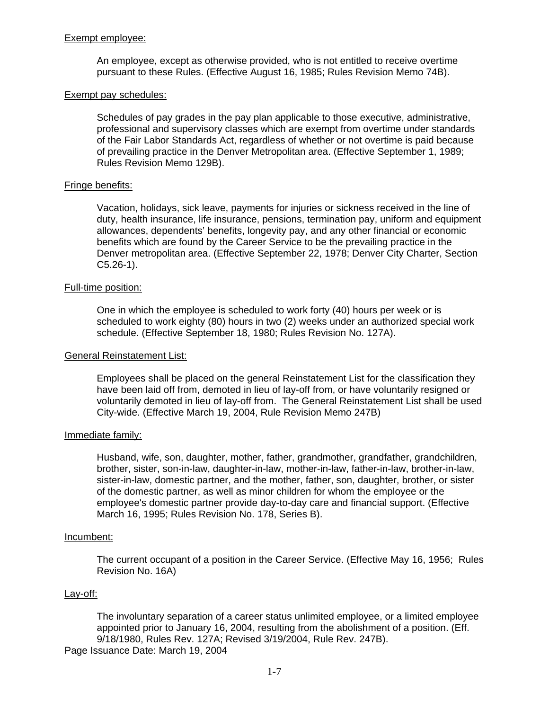### Exempt employee:

An employee, except as otherwise provided, who is not entitled to receive overtime pursuant to these Rules. (Effective August 16, 1985; Rules Revision Memo 74B).

#### Exempt pay schedules:

Schedules of pay grades in the pay plan applicable to those executive, administrative, professional and supervisory classes which are exempt from overtime under standards of the Fair Labor Standards Act, regardless of whether or not overtime is paid because of prevailing practice in the Denver Metropolitan area. (Effective September 1, 1989; Rules Revision Memo 129B).

### Fringe benefits:

Vacation, holidays, sick leave, payments for injuries or sickness received in the line of duty, health insurance, life insurance, pensions, termination pay, uniform and equipment allowances, dependents' benefits, longevity pay, and any other financial or economic benefits which are found by the Career Service to be the prevailing practice in the Denver metropolitan area. (Effective September 22, 1978; Denver City Charter, Section  $C5.26-1$ .

#### Full-time position:

One in which the employee is scheduled to work forty (40) hours per week or is scheduled to work eighty (80) hours in two (2) weeks under an authorized special work schedule. (Effective September 18, 1980; Rules Revision No. 127A).

#### General Reinstatement List:

Employees shall be placed on the general Reinstatement List for the classification they have been laid off from, demoted in lieu of lay-off from, or have voluntarily resigned or voluntarily demoted in lieu of lay-off from. The General Reinstatement List shall be used City-wide. (Effective March 19, 2004, Rule Revision Memo 247B)

#### Immediate family:

Husband, wife, son, daughter, mother, father, grandmother, grandfather, grandchildren, brother, sister, son-in-law, daughter-in-law, mother-in-law, father-in-law, brother-in-law, sister-in-law, domestic partner, and the mother, father, son, daughter, brother, or sister of the domestic partner, as well as minor children for whom the employee or the employee's domestic partner provide day-to-day care and financial support. (Effective March 16, 1995; Rules Revision No. 178, Series B).

#### Incumbent:

The current occupant of a position in the Career Service. (Effective May 16, 1956; Rules Revision No. 16A)

#### Lay-off:

The involuntary separation of a career status unlimited employee, or a limited employee appointed prior to January 16, 2004, resulting from the abolishment of a position. (Eff. 9/18/1980, Rules Rev. 127A; Revised 3/19/2004, Rule Rev. 247B).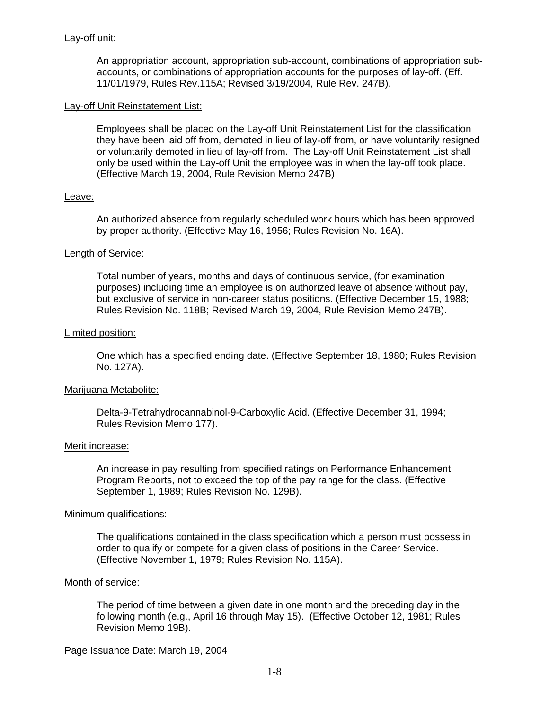### Lay-off unit:

An appropriation account, appropriation sub-account, combinations of appropriation subaccounts, or combinations of appropriation accounts for the purposes of lay-off. (Eff. 11/01/1979, Rules Rev.115A; Revised 3/19/2004, Rule Rev. 247B).

### Lay-off Unit Reinstatement List:

Employees shall be placed on the Lay-off Unit Reinstatement List for the classification they have been laid off from, demoted in lieu of lay-off from, or have voluntarily resigned or voluntarily demoted in lieu of lay-off from. The Lay-off Unit Reinstatement List shall only be used within the Lay-off Unit the employee was in when the lay-off took place. (Effective March 19, 2004, Rule Revision Memo 247B)

# Leave:

An authorized absence from regularly scheduled work hours which has been approved by proper authority. (Effective May 16, 1956; Rules Revision No. 16A).

### Length of Service:

Total number of years, months and days of continuous service, (for examination purposes) including time an employee is on authorized leave of absence without pay, but exclusive of service in non-career status positions. (Effective December 15, 1988; Rules Revision No. 118B; Revised March 19, 2004, Rule Revision Memo 247B).

### Limited position:

One which has a specified ending date. (Effective September 18, 1980; Rules Revision No. 127A).

### Marijuana Metabolite:

Delta-9-Tetrahydrocannabinol-9-Carboxylic Acid. (Effective December 31, 1994; Rules Revision Memo 177).

### Merit increase:

An increase in pay resulting from specified ratings on Performance Enhancement Program Reports, not to exceed the top of the pay range for the class. (Effective September 1, 1989; Rules Revision No. 129B).

### Minimum qualifications:

The qualifications contained in the class specification which a person must possess in order to qualify or compete for a given class of positions in the Career Service. (Effective November 1, 1979; Rules Revision No. 115A).

### Month of service:

The period of time between a given date in one month and the preceding day in the following month (e.g., April 16 through May 15). (Effective October 12, 1981; Rules Revision Memo 19B).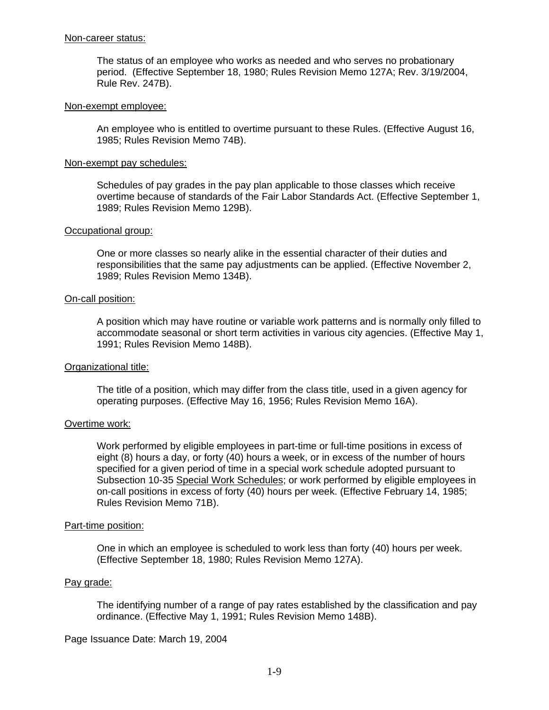#### Non-career status:

The status of an employee who works as needed and who serves no probationary period. (Effective September 18, 1980; Rules Revision Memo 127A; Rev. 3/19/2004, Rule Rev. 247B).

#### Non-exempt employee:

An employee who is entitled to overtime pursuant to these Rules. (Effective August 16, 1985; Rules Revision Memo 74B).

### Non-exempt pay schedules:

Schedules of pay grades in the pay plan applicable to those classes which receive overtime because of standards of the Fair Labor Standards Act. (Effective September 1, 1989; Rules Revision Memo 129B).

#### Occupational group:

One or more classes so nearly alike in the essential character of their duties and responsibilities that the same pay adjustments can be applied. (Effective November 2, 1989; Rules Revision Memo 134B).

### On-call position:

A position which may have routine or variable work patterns and is normally only filled to accommodate seasonal or short term activities in various city agencies. (Effective May 1, 1991; Rules Revision Memo 148B).

### Organizational title:

The title of a position, which may differ from the class title, used in a given agency for operating purposes. (Effective May 16, 1956; Rules Revision Memo 16A).

### Overtime work:

Work performed by eligible employees in part-time or full-time positions in excess of eight (8) hours a day, or forty (40) hours a week, or in excess of the number of hours specified for a given period of time in a special work schedule adopted pursuant to Subsection 10-35 Special Work Schedules; or work performed by eligible employees in on-call positions in excess of forty (40) hours per week. (Effective February 14, 1985; Rules Revision Memo 71B).

#### Part-time position:

One in which an employee is scheduled to work less than forty (40) hours per week. (Effective September 18, 1980; Rules Revision Memo 127A).

#### Pay grade:

The identifying number of a range of pay rates established by the classification and pay ordinance. (Effective May 1, 1991; Rules Revision Memo 148B).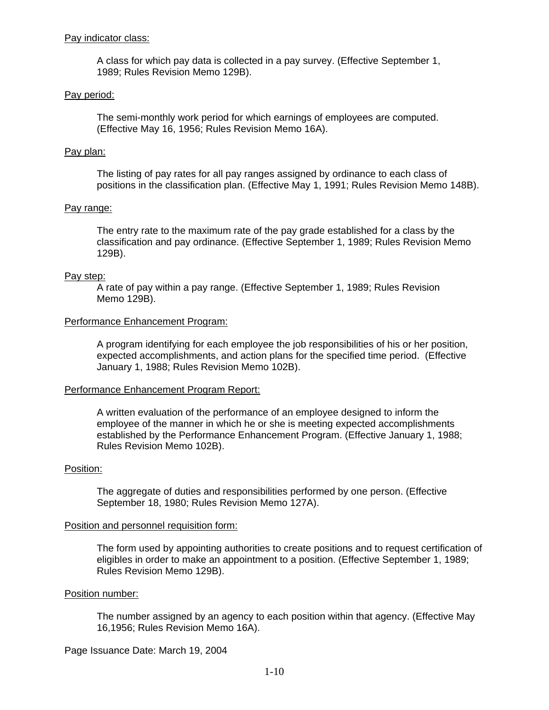### Pay indicator class:

A class for which pay data is collected in a pay survey. (Effective September 1, 1989; Rules Revision Memo 129B).

#### Pay period:

The semi-monthly work period for which earnings of employees are computed. (Effective May 16, 1956; Rules Revision Memo 16A).

#### Pay plan:

The listing of pay rates for all pay ranges assigned by ordinance to each class of positions in the classification plan. (Effective May 1, 1991; Rules Revision Memo 148B).

#### Pay range:

The entry rate to the maximum rate of the pay grade established for a class by the classification and pay ordinance. (Effective September 1, 1989; Rules Revision Memo 129B).

#### Pay step:

A rate of pay within a pay range. (Effective September 1, 1989; Rules Revision Memo 129B).

#### Performance Enhancement Program:

A program identifying for each employee the job responsibilities of his or her position, expected accomplishments, and action plans for the specified time period. (Effective January 1, 1988; Rules Revision Memo 102B).

#### Performance Enhancement Program Report:

A written evaluation of the performance of an employee designed to inform the employee of the manner in which he or she is meeting expected accomplishments established by the Performance Enhancement Program. (Effective January 1, 1988; Rules Revision Memo 102B).

#### Position:

The aggregate of duties and responsibilities performed by one person. (Effective September 18, 1980; Rules Revision Memo 127A).

#### Position and personnel requisition form:

The form used by appointing authorities to create positions and to request certification of eligibles in order to make an appointment to a position. (Effective September 1, 1989; Rules Revision Memo 129B).

#### Position number:

The number assigned by an agency to each position within that agency. (Effective May 16,1956; Rules Revision Memo 16A).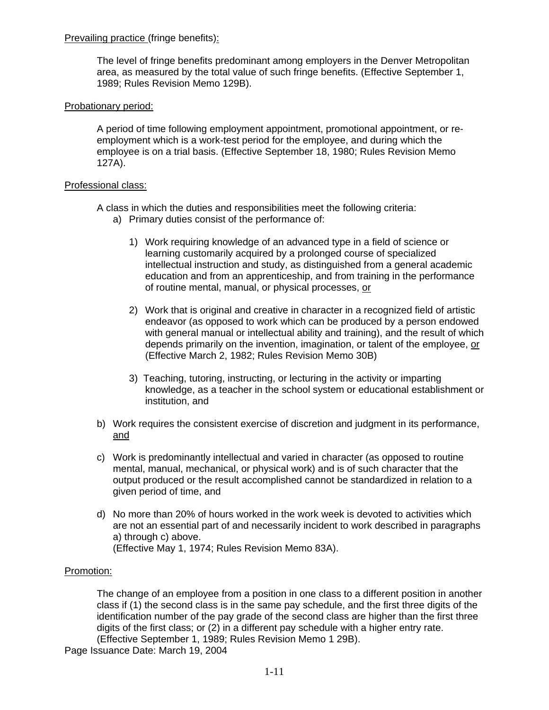# Prevailing practice (fringe benefits):

The level of fringe benefits predominant among employers in the Denver Metropolitan area, as measured by the total value of such fringe benefits. (Effective September 1, 1989; Rules Revision Memo 129B).

# Probationary period:

A period of time following employment appointment, promotional appointment, or reemployment which is a work-test period for the employee, and during which the employee is on a trial basis. (Effective September 18, 1980; Rules Revision Memo 127A).

# Professional class:

A class in which the duties and responsibilities meet the following criteria: a) Primary duties consist of the performance of:

- 1) Work requiring knowledge of an advanced type in a field of science or learning customarily acquired by a prolonged course of specialized intellectual instruction and study, as distinguished from a general academic education and from an apprenticeship, and from training in the performance of routine mental, manual, or physical processes, or
- 2) Work that is original and creative in character in a recognized field of artistic endeavor (as opposed to work which can be produced by a person endowed with general manual or intellectual ability and training), and the result of which depends primarily on the invention, imagination, or talent of the employee, or (Effective March 2, 1982; Rules Revision Memo 30B)
- 3) Teaching, tutoring, instructing, or lecturing in the activity or imparting knowledge, as a teacher in the school system or educational establishment or institution, and
- b) Work requires the consistent exercise of discretion and judgment in its performance, and
- c) Work is predominantly intellectual and varied in character (as opposed to routine mental, manual, mechanical, or physical work) and is of such character that the output produced or the result accomplished cannot be standardized in relation to a given period of time, and
- d) No more than 20% of hours worked in the work week is devoted to activities which are not an essential part of and necessarily incident to work described in paragraphs a) through c) above. (Effective May 1, 1974; Rules Revision Memo 83A).

### Promotion:

The change of an employee from a position in one class to a different position in another class if (1) the second class is in the same pay schedule, and the first three digits of the identification number of the pay grade of the second class are higher than the first three digits of the first class; or (2) in a different pay schedule with a higher entry rate. (Effective September 1, 1989; Rules Revision Memo 1 29B).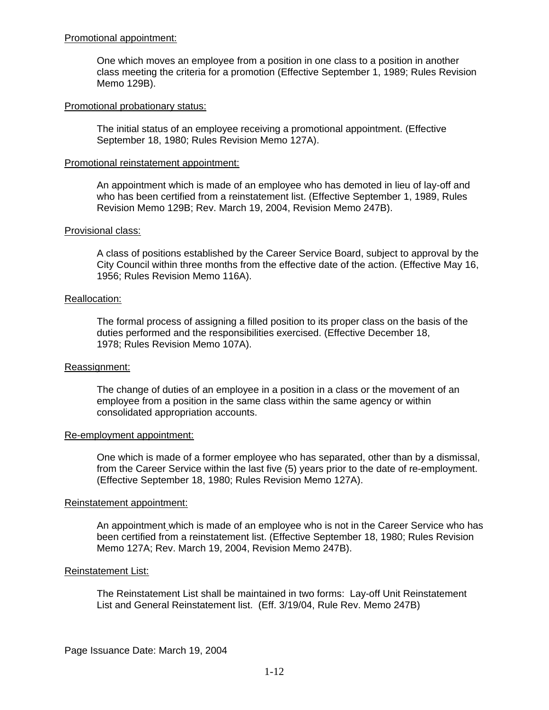### Promotional appointment:

One which moves an employee from a position in one class to a position in another class meeting the criteria for a promotion (Effective September 1, 1989; Rules Revision Memo 129B).

### Promotional probationary status:

The initial status of an employee receiving a promotional appointment. (Effective September 18, 1980; Rules Revision Memo 127A).

### Promotional reinstatement appointment:

An appointment which is made of an employee who has demoted in lieu of lay-off and who has been certified from a reinstatement list. (Effective September 1, 1989, Rules Revision Memo 129B; Rev. March 19, 2004, Revision Memo 247B).

#### Provisional class:

A class of positions established by the Career Service Board, subject to approval by the City Council within three months from the effective date of the action. (Effective May 16, 1956; Rules Revision Memo 116A).

#### Reallocation:

The formal process of assigning a filled position to its proper class on the basis of the duties performed and the responsibilities exercised. (Effective December 18, 1978; Rules Revision Memo 107A).

### Reassignment:

The change of duties of an employee in a position in a class or the movement of an employee from a position in the same class within the same agency or within consolidated appropriation accounts.

#### Re-employment appointment:

One which is made of a former employee who has separated, other than by a dismissal, from the Career Service within the last five (5) years prior to the date of re-employment. (Effective September 18, 1980; Rules Revision Memo 127A).

#### Reinstatement appointment:

An appointment which is made of an employee who is not in the Career Service who has been certified from a reinstatement list. (Effective September 18, 1980; Rules Revision Memo 127A; Rev. March 19, 2004, Revision Memo 247B).

### Reinstatement List:

The Reinstatement List shall be maintained in two forms: Lay-off Unit Reinstatement List and General Reinstatement list. (Eff. 3/19/04, Rule Rev. Memo 247B)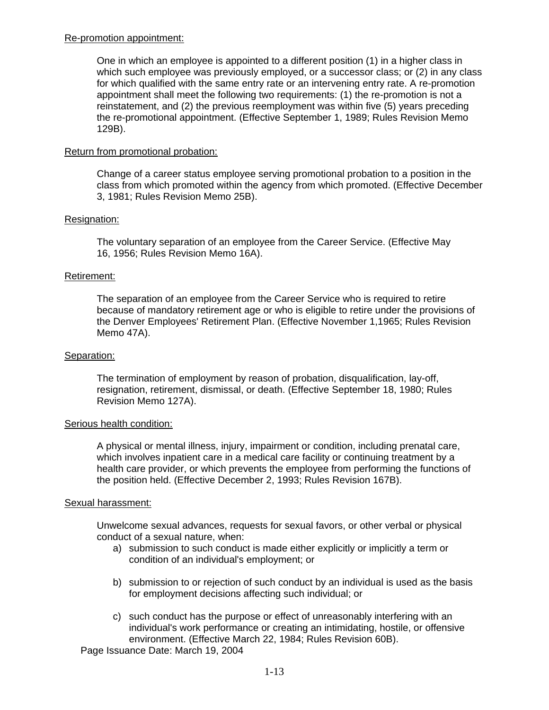# Re-promotion appointment:

One in which an employee is appointed to a different position (1) in a higher class in which such employee was previously employed, or a successor class; or (2) in any class for which qualified with the same entry rate or an intervening entry rate. A re-promotion appointment shall meet the following two requirements: (1) the re-promotion is not a reinstatement, and (2) the previous reemployment was within five (5) years preceding the re-promotional appointment. (Effective September 1, 1989; Rules Revision Memo 129B).

# Return from promotional probation:

Change of a career status employee serving promotional probation to a position in the class from which promoted within the agency from which promoted. (Effective December 3, 1981; Rules Revision Memo 25B).

# Resignation:

The voluntary separation of an employee from the Career Service. (Effective May 16, 1956; Rules Revision Memo 16A).

### Retirement:

The separation of an employee from the Career Service who is required to retire because of mandatory retirement age or who is eligible to retire under the provisions of the Denver Employees' Retirement Plan. (Effective November 1,1965; Rules Revision Memo 47A).

### Separation:

The termination of employment by reason of probation, disqualification, lay-off, resignation, retirement, dismissal, or death. (Effective September 18, 1980; Rules Revision Memo 127A).

### Serious health condition:

A physical or mental illness, injury, impairment or condition, including prenatal care, which involves inpatient care in a medical care facility or continuing treatment by a health care provider, or which prevents the employee from performing the functions of the position held. (Effective December 2, 1993; Rules Revision 167B).

### Sexual harassment:

Unwelcome sexual advances, requests for sexual favors, or other verbal or physical conduct of a sexual nature, when:

- a) submission to such conduct is made either explicitly or implicitly a term or condition of an individual's employment; or
- b) submission to or rejection of such conduct by an individual is used as the basis for employment decisions affecting such individual; or
- c) such conduct has the purpose or effect of unreasonably interfering with an individual's work performance or creating an intimidating, hostile, or offensive environment. (Effective March 22, 1984; Rules Revision 60B).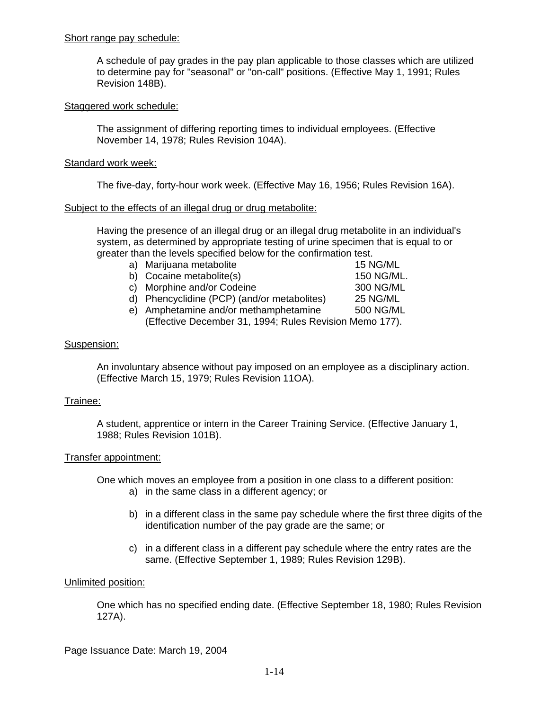### Short range pay schedule:

A schedule of pay grades in the pay plan applicable to those classes which are utilized to determine pay for "seasonal" or "on-call" positions. (Effective May 1, 1991; Rules Revision 148B).

# Staggered work schedule:

The assignment of differing reporting times to individual employees. (Effective November 14, 1978; Rules Revision 104A).

# Standard work week:

The five-day, forty-hour work week. (Effective May 16, 1956; Rules Revision 16A).

### Subject to the effects of an illegal drug or drug metabolite:

Having the presence of an illegal drug or an illegal drug metabolite in an individual's system, as determined by appropriate testing of urine specimen that is equal to or greater than the levels specified below for the confirmation test.

- a) Marijuana metabolite 15 NG/ML b) Cocaine metabolite(s) 150 NG/ML. c) Morphine and/or Codeine 300 NG/ML
	- d) Phencyclidine (PCP) (and/or metabolites) 25 NG/ML e) Amphetamine and/or methamphetamine 500 NG/ML
	- (Effective December 31, 1994; Rules Revision Memo 177).

# Suspension:

An involuntary absence without pay imposed on an employee as a disciplinary action. (Effective March 15, 1979; Rules Revision 11OA).

### Trainee:

A student, apprentice or intern in the Career Training Service. (Effective January 1, 1988; Rules Revision 101B).

### Transfer appointment:

One which moves an employee from a position in one class to a different position:

- a) in the same class in a different agency; or
- b) in a different class in the same pay schedule where the first three digits of the identification number of the pay grade are the same; or
- c) in a different class in a different pay schedule where the entry rates are the same. (Effective September 1, 1989; Rules Revision 129B).

### Unlimited position:

One which has no specified ending date. (Effective September 18, 1980; Rules Revision 127A).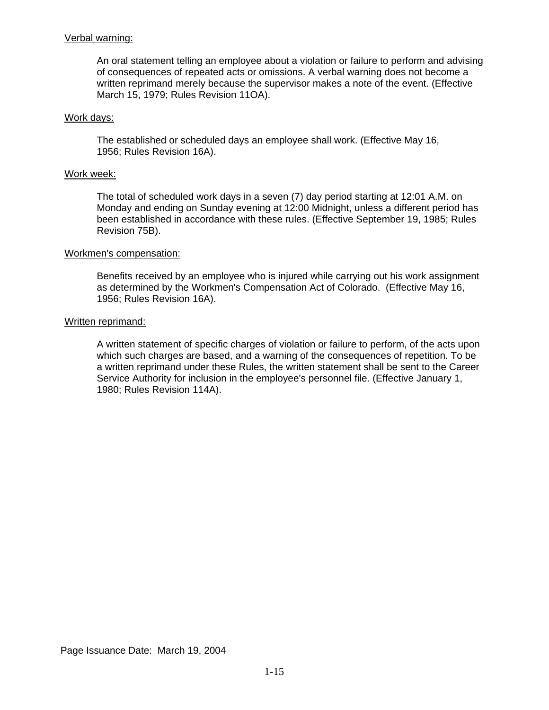### Verbal warning:

An oral statement telling an employee about a violation or failure to perform and advising of consequences of repeated acts or omissions. A verbal warning does not become a written reprimand merely because the supervisor makes a note of the event. (Effective March 15, 1979; Rules Revision 11OA).

### Work days:

The established or scheduled days an employee shall work. (Effective May 16, 1956; Rules Revision 16A).

### Work week:

The total of scheduled work days in a seven (7) day period starting at 12:01 A.M. on Monday and ending on Sunday evening at 12:00 Midnight, unless a different period has been established in accordance with these rules. (Effective September 19, 1985; Rules Revision 75B).

### Workmen's compensation:

Benefits received by an employee who is injured while carrying out his work assignment as determined by the Workmen's Compensation Act of Colorado. (Effective May 16, 1956; Rules Revision 16A).

#### Written reprimand:

A written statement of specific charges of violation or failure to perform, of the acts upon which such charges are based, and a warning of the consequences of repetition. To be a written reprimand under these Rules, the written statement shall be sent to the Career Service Authority for inclusion in the employee's personnel file. (Effective January 1, 1980; Rules Revision 114A).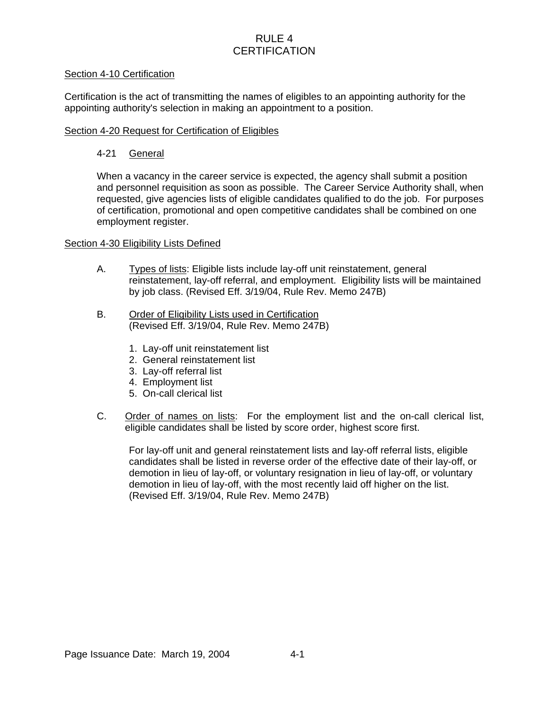# RULE 4 **CERTIFICATION**

# Section 4-10 Certification

Certification is the act of transmitting the names of eligibles to an appointing authority for the appointing authority's selection in making an appointment to a position.

### Section 4-20 Request for Certification of Eligibles

# 4-21 General

When a vacancy in the career service is expected, the agency shall submit a position and personnel requisition as soon as possible. The Career Service Authority shall, when requested, give agencies lists of eligible candidates qualified to do the job. For purposes of certification, promotional and open competitive candidates shall be combined on one employment register.

# Section 4-30 Eligibility Lists Defined

- A. Types of lists: Eligible lists include lay-off unit reinstatement, general reinstatement, lay-off referral, and employment. Eligibility lists will be maintained by job class. (Revised Eff. 3/19/04, Rule Rev. Memo 247B)
- B. Order of Eligibility Lists used in Certification (Revised Eff. 3/19/04, Rule Rev. Memo 247B)
	- 1. Lay-off unit reinstatement list
	- 2. General reinstatement list
	- 3. Lay-off referral list
	- 4. Employment list
	- 5. On-call clerical list
- C. Order of names on lists: For the employment list and the on-call clerical list, eligible candidates shall be listed by score order, highest score first.

For lay-off unit and general reinstatement lists and lay-off referral lists, eligible candidates shall be listed in reverse order of the effective date of their lay-off, or demotion in lieu of lay-off, or voluntary resignation in lieu of lay-off, or voluntary demotion in lieu of lay-off, with the most recently laid off higher on the list. (Revised Eff. 3/19/04, Rule Rev. Memo 247B)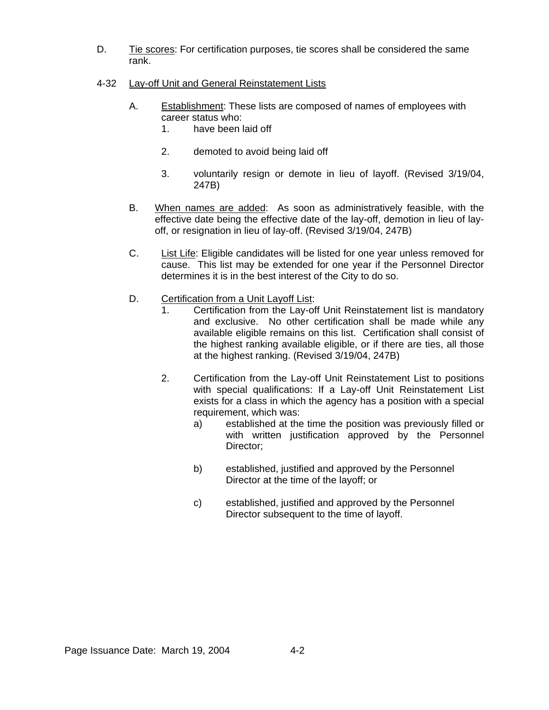- D. Tie scores: For certification purposes, tie scores shall be considered the same rank.
- 4-32 Lay-off Unit and General Reinstatement Lists
	- A. Establishment: These lists are composed of names of employees with career status who:
		- 1. have been laid off
		- 2. demoted to avoid being laid off
		- 3. voluntarily resign or demote in lieu of layoff. (Revised 3/19/04, 247B)
	- B. When names are added: As soon as administratively feasible, with the effective date being the effective date of the lay-off, demotion in lieu of layoff, or resignation in lieu of lay-off. (Revised 3/19/04, 247B)
	- C. List Life: Eligible candidates will be listed for one year unless removed for cause. This list may be extended for one year if the Personnel Director determines it is in the best interest of the City to do so.
	- D. Certification from a Unit Layoff List:
		- 1. Certification from the Lay-off Unit Reinstatement list is mandatory and exclusive. No other certification shall be made while any available eligible remains on this list. Certification shall consist of the highest ranking available eligible, or if there are ties, all those at the highest ranking. (Revised 3/19/04, 247B)
		- 2. Certification from the Lay-off Unit Reinstatement List to positions with special qualifications: If a Lay-off Unit Reinstatement List exists for a class in which the agency has a position with a special requirement, which was:
			- a) established at the time the position was previously filled or with written justification approved by the Personnel Director;
			- b) established, justified and approved by the Personnel Director at the time of the layoff; or
			- c) established, justified and approved by the Personnel Director subsequent to the time of layoff.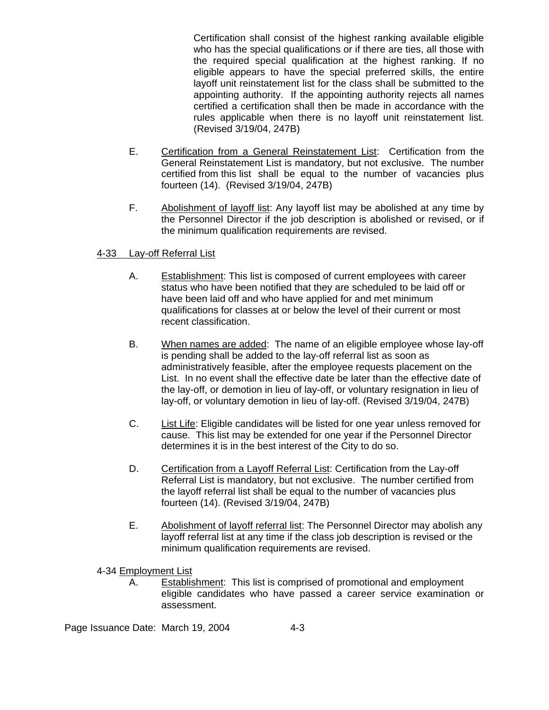Certification shall consist of the highest ranking available eligible who has the special qualifications or if there are ties, all those with the required special qualification at the highest ranking. If no eligible appears to have the special preferred skills, the entire layoff unit reinstatement list for the class shall be submitted to the appointing authority. If the appointing authority rejects all names certified a certification shall then be made in accordance with the rules applicable when there is no layoff unit reinstatement list. (Revised 3/19/04, 247B)

- E. Certification from a General Reinstatement List: Certification from the General Reinstatement List is mandatory, but not exclusive. The number certified from this list shall be equal to the number of vacancies plus fourteen (14). (Revised 3/19/04, 247B)
- F. Abolishment of layoff list: Any layoff list may be abolished at any time by the Personnel Director if the job description is abolished or revised, or if the minimum qualification requirements are revised.

# 4-33 Lay-off Referral List

- A. Establishment: This list is composed of current employees with career status who have been notified that they are scheduled to be laid off or have been laid off and who have applied for and met minimum qualifications for classes at or below the level of their current or most recent classification.
- B. When names are added: The name of an eligible employee whose lay-off is pending shall be added to the lay-off referral list as soon as administratively feasible, after the employee requests placement on the List. In no event shall the effective date be later than the effective date of the lay-off, or demotion in lieu of lay-off, or voluntary resignation in lieu of lay-off, or voluntary demotion in lieu of lay-off. (Revised 3/19/04, 247B)
- C. List Life: Eligible candidates will be listed for one year unless removed for cause. This list may be extended for one year if the Personnel Director determines it is in the best interest of the City to do so.
- D. Certification from a Layoff Referral List: Certification from the Lay-off Referral List is mandatory, but not exclusive. The number certified from the layoff referral list shall be equal to the number of vacancies plus fourteen (14). (Revised 3/19/04, 247B)
- E. Abolishment of layoff referral list: The Personnel Director may abolish any layoff referral list at any time if the class job description is revised or the minimum qualification requirements are revised.
- 4-34 Employment List
	- A. Establishment: This list is comprised of promotional and employment eligible candidates who have passed a career service examination or assessment.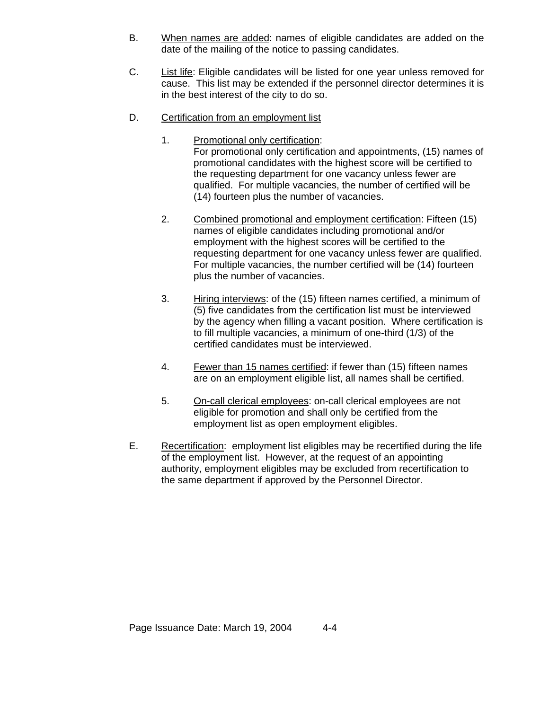- B. When names are added: names of eligible candidates are added on the date of the mailing of the notice to passing candidates.
- C. List life: Eligible candidates will be listed for one year unless removed for cause. This list may be extended if the personnel director determines it is in the best interest of the city to do so.
- D. Certification from an employment list
	- 1. Promotional only certification: For promotional only certification and appointments, (15) names of promotional candidates with the highest score will be certified to the requesting department for one vacancy unless fewer are qualified. For multiple vacancies, the number of certified will be (14) fourteen plus the number of vacancies.
	- 2. Combined promotional and employment certification: Fifteen (15) names of eligible candidates including promotional and/or employment with the highest scores will be certified to the requesting department for one vacancy unless fewer are qualified. For multiple vacancies, the number certified will be (14) fourteen plus the number of vacancies.
	- 3. Hiring interviews: of the (15) fifteen names certified, a minimum of (5) five candidates from the certification list must be interviewed by the agency when filling a vacant position. Where certification is to fill multiple vacancies, a minimum of one-third (1/3) of the certified candidates must be interviewed.
	- 4. Fewer than 15 names certified: if fewer than (15) fifteen names are on an employment eligible list, all names shall be certified.
	- 5. On-call clerical employees: on-call clerical employees are not eligible for promotion and shall only be certified from the employment list as open employment eligibles.
- E. Recertification: employment list eligibles may be recertified during the life of the employment list. However, at the request of an appointing authority, employment eligibles may be excluded from recertification to the same department if approved by the Personnel Director.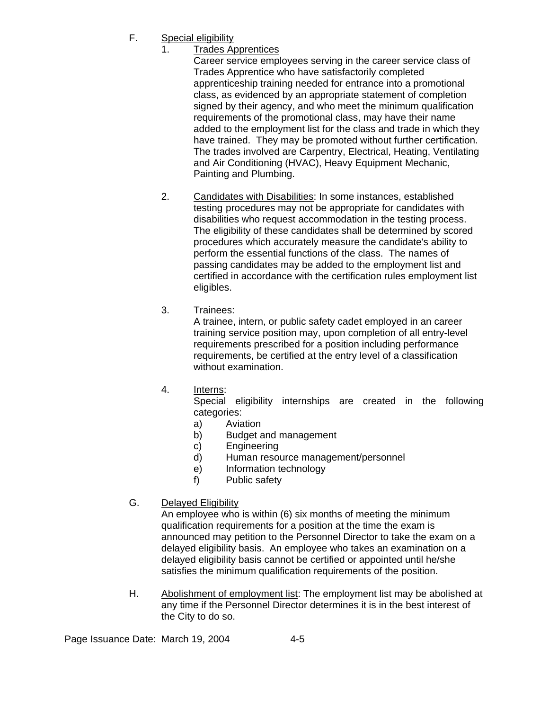- F. Special eligibility
	- 1. Trades Apprentices

Career service employees serving in the career service class of Trades Apprentice who have satisfactorily completed apprenticeship training needed for entrance into a promotional class, as evidenced by an appropriate statement of completion signed by their agency, and who meet the minimum qualification requirements of the promotional class, may have their name added to the employment list for the class and trade in which they have trained. They may be promoted without further certification. The trades involved are Carpentry, Electrical, Heating, Ventilating and Air Conditioning (HVAC), Heavy Equipment Mechanic, Painting and Plumbing.

- 2. Candidates with Disabilities: In some instances, established testing procedures may not be appropriate for candidates with disabilities who request accommodation in the testing process. The eligibility of these candidates shall be determined by scored procedures which accurately measure the candidate's ability to perform the essential functions of the class. The names of passing candidates may be added to the employment list and certified in accordance with the certification rules employment list eligibles.
- 3. Trainees:

 A trainee, intern, or public safety cadet employed in an career training service position may, upon completion of all entry-level requirements prescribed for a position including performance requirements, be certified at the entry level of a classification without examination.

4. Interns:

 Special eligibility internships are created in the following categories:

- a) Aviation
- b) Budget and management
- c) Engineering
- d) Human resource management/personnel
- e) Information technology
- f) Public safety
- G. Delayed Eligibility

An employee who is within (6) six months of meeting the minimum qualification requirements for a position at the time the exam is announced may petition to the Personnel Director to take the exam on a delayed eligibility basis. An employee who takes an examination on a delayed eligibility basis cannot be certified or appointed until he/she satisfies the minimum qualification requirements of the position.

H. Abolishment of employment list: The employment list may be abolished at any time if the Personnel Director determines it is in the best interest of the City to do so.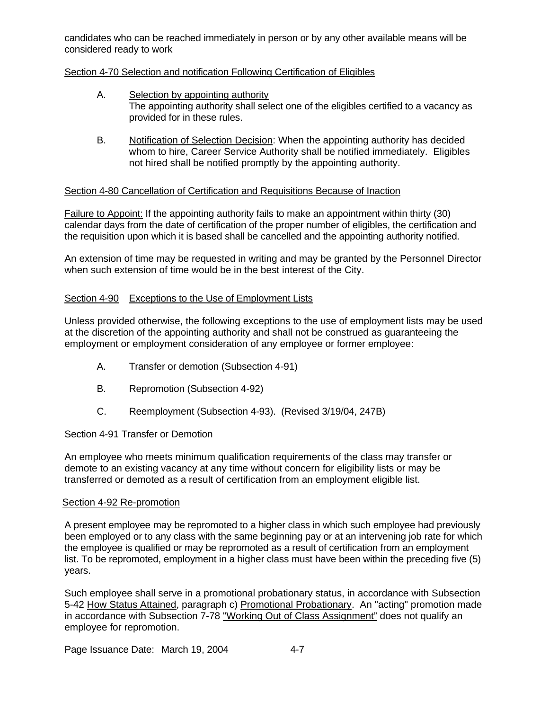candidates who can be reached immediately in person or by any other available means will be considered ready to work

# Section 4-70 Selection and notification Following Certification of Eligibles

- A. Selection by appointing authority The appointing authority shall select one of the eligibles certified to a vacancy as provided for in these rules.
- B. Notification of Selection Decision: When the appointing authority has decided whom to hire, Career Service Authority shall be notified immediately. Eligibles not hired shall be notified promptly by the appointing authority.

# Section 4-80 Cancellation of Certification and Requisitions Because of Inaction

Failure to Appoint: If the appointing authority fails to make an appointment within thirty (30) calendar days from the date of certification of the proper number of eligibles, the certification and the requisition upon which it is based shall be cancelled and the appointing authority notified.

An extension of time may be requested in writing and may be granted by the Personnel Director when such extension of time would be in the best interest of the City.

# Section 4-90 Exceptions to the Use of Employment Lists

Unless provided otherwise, the following exceptions to the use of employment lists may be used at the discretion of the appointing authority and shall not be construed as guaranteeing the employment or employment consideration of any employee or former employee:

- A. Transfer or demotion (Subsection 4-91)
- B. Repromotion (Subsection 4-92)
- C. Reemployment (Subsection 4-93). (Revised 3/19/04, 247B)

### Section 4-91 Transfer or Demotion

An employee who meets minimum qualification requirements of the class may transfer or demote to an existing vacancy at any time without concern for eligibility lists or may be transferred or demoted as a result of certification from an employment eligible list.

### Section 4-92 Re-promotion

A present employee may be repromoted to a higher class in which such employee had previously been employed or to any class with the same beginning pay or at an intervening job rate for which the employee is qualified or may be repromoted as a result of certification from an employment list. To be repromoted, employment in a higher class must have been within the preceding five (5) years.

Such employee shall serve in a promotional probationary status, in accordance with Subsection 5-42 How Status Attained, paragraph c) Promotional Probationary. An "acting" promotion made in accordance with Subsection 7-78 "Working Out of Class Assignment" does not qualify an employee for repromotion.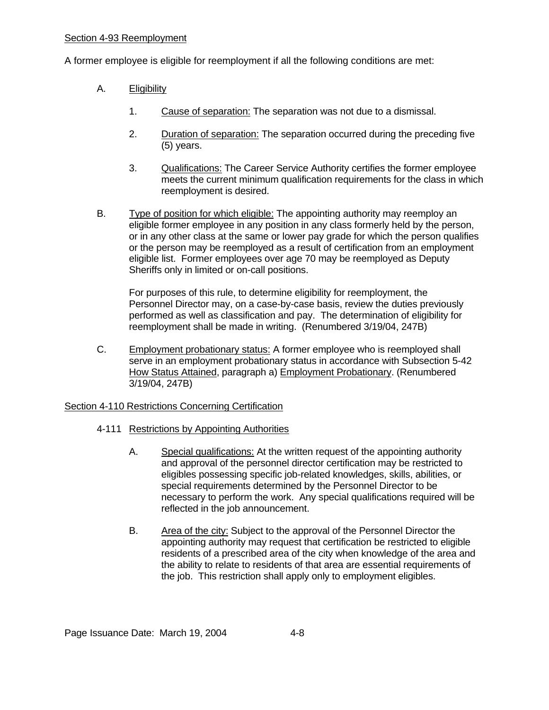A former employee is eligible for reemployment if all the following conditions are met:

- A. Eligibility
	- 1. Cause of separation: The separation was not due to a dismissal.
	- 2. Duration of separation: The separation occurred during the preceding five (5) years.
	- 3. Qualifications: The Career Service Authority certifies the former employee meets the current minimum qualification requirements for the class in which reemployment is desired.
- B. Type of position for which eligible: The appointing authority may reemploy an eligible former employee in any position in any class formerly held by the person, or in any other class at the same or lower pay grade for which the person qualifies or the person may be reemployed as a result of certification from an employment eligible list. Former employees over age 70 may be reemployed as Deputy Sheriffs only in limited or on-call positions.

 For purposes of this rule, to determine eligibility for reemployment, the Personnel Director may, on a case-by-case basis, review the duties previously performed as well as classification and pay. The determination of eligibility for reemployment shall be made in writing. (Renumbered 3/19/04, 247B)

C. Employment probationary status: A former employee who is reemployed shall serve in an employment probationary status in accordance with Subsection 5-42 How Status Attained, paragraph a) Employment Probationary. (Renumbered 3/19/04, 247B)

# Section 4-110 Restrictions Concerning Certification

- 4-111 Restrictions by Appointing Authorities
	- A. Special qualifications: At the written request of the appointing authority and approval of the personnel director certification may be restricted to eligibles possessing specific job-related knowledges, skills, abilities, or special requirements determined by the Personnel Director to be necessary to perform the work. Any special qualifications required will be reflected in the job announcement.
	- B. Area of the city: Subject to the approval of the Personnel Director the appointing authority may request that certification be restricted to eligible residents of a prescribed area of the city when knowledge of the area and the ability to relate to residents of that area are essential requirements of the job. This restriction shall apply only to employment eligibles.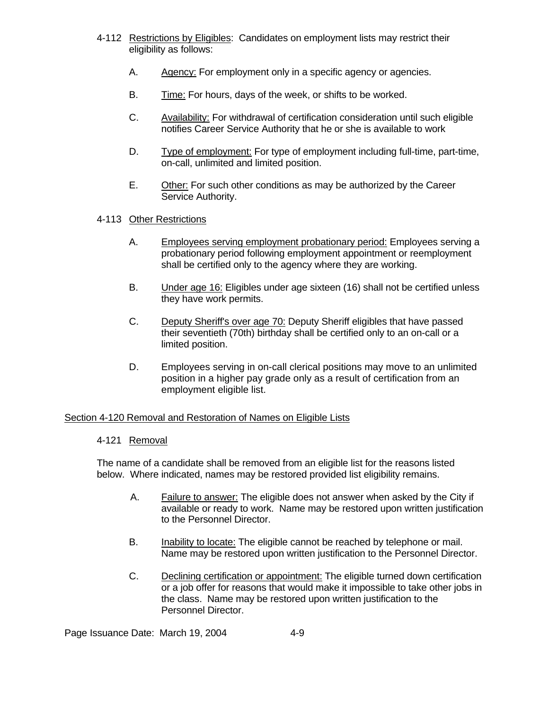- 4-112 Restrictions by Eligibles: Candidates on employment lists may restrict their eligibility as follows:
	- A. Agency: For employment only in a specific agency or agencies.
	- B. Time: For hours, days of the week, or shifts to be worked.
	- C. Availability: For withdrawal of certification consideration until such eligible notifies Career Service Authority that he or she is available to work
	- D. Type of employment: For type of employment including full-time, part-time, on-call, unlimited and limited position.
	- E. Other: For such other conditions as may be authorized by the Career Service Authority.

# 4-113 Other Restrictions

- A. Employees serving employment probationary period: Employees serving a probationary period following employment appointment or reemployment shall be certified only to the agency where they are working.
- B. Under age 16: Eligibles under age sixteen (16) shall not be certified unless they have work permits.
- C. Deputy Sheriff's over age 70: Deputy Sheriff eligibles that have passed their seventieth (70th) birthday shall be certified only to an on-call or a limited position.
- D. Employees serving in on-call clerical positions may move to an unlimited position in a higher pay grade only as a result of certification from an employment eligible list.

# Section 4-120 Removal and Restoration of Names on Eligible Lists

### 4-121 Removal

The name of a candidate shall be removed from an eligible list for the reasons listed below. Where indicated, names may be restored provided list eligibility remains.

- A. Failure to answer: The eligible does not answer when asked by the City if available or ready to work. Name may be restored upon written justification to the Personnel Director.
- B. Inability to locate: The eligible cannot be reached by telephone or mail. Name may be restored upon written justification to the Personnel Director.
- C. Declining certification or appointment: The eligible turned down certification or a job offer for reasons that would make it impossible to take other jobs in the class. Name may be restored upon written justification to the Personnel Director.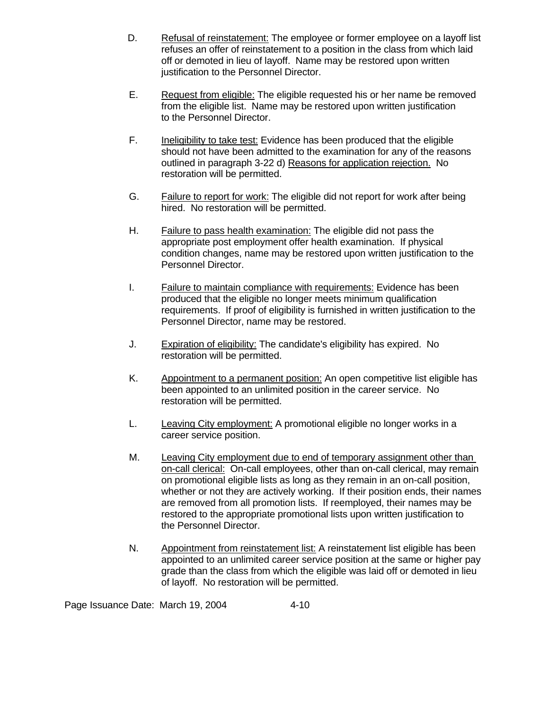- D. Refusal of reinstatement: The employee or former employee on a layoff list refuses an offer of reinstatement to a position in the class from which laid off or demoted in lieu of layoff. Name may be restored upon written justification to the Personnel Director.
- E. Request from eligible: The eligible requested his or her name be removed from the eligible list. Name may be restored upon written justification to the Personnel Director.
- F. Ineligibility to take test: Evidence has been produced that the eligible should not have been admitted to the examination for any of the reasons outlined in paragraph 3-22 d) Reasons for application rejection. No restoration will be permitted.
- G. Failure to report for work: The eligible did not report for work after being hired. No restoration will be permitted.
- H. Failure to pass health examination: The eligible did not pass the appropriate post employment offer health examination. If physical condition changes, name may be restored upon written justification to the Personnel Director.
- I. Failure to maintain compliance with requirements: Evidence has been produced that the eligible no longer meets minimum qualification requirements. If proof of eligibility is furnished in written justification to the Personnel Director, name may be restored.
- J. Expiration of eligibility: The candidate's eligibility has expired. No restoration will be permitted.
- K. Appointment to a permanent position: An open competitive list eligible has been appointed to an unlimited position in the career service. No restoration will be permitted.
- L. Leaving City employment: A promotional eligible no longer works in a career service position.
- M. Leaving City employment due to end of temporary assignment other than on-call clerical: On-call employees, other than on-call clerical, may remain on promotional eligible lists as long as they remain in an on-call position, whether or not they are actively working. If their position ends, their names are removed from all promotion lists. If reemployed, their names may be restored to the appropriate promotional lists upon written justification to the Personnel Director.
- N. Appointment from reinstatement list: A reinstatement list eligible has been appointed to an unlimited career service position at the same or higher pay grade than the class from which the eligible was laid off or demoted in lieu of layoff. No restoration will be permitted.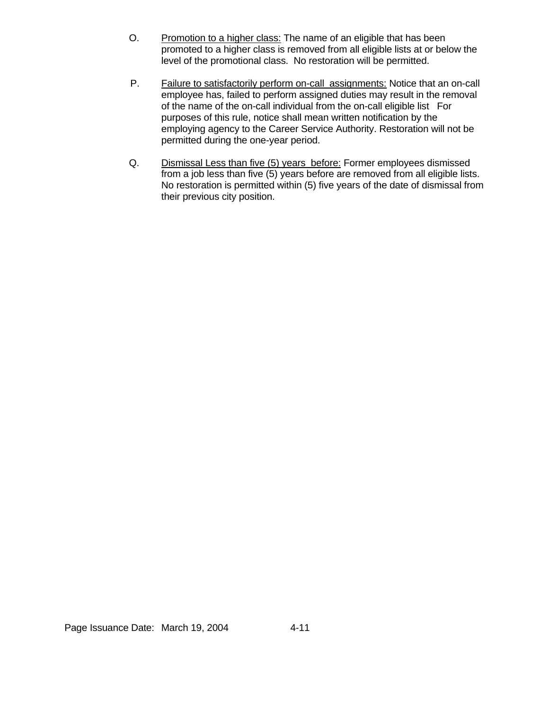- O. Promotion to a higher class: The name of an eligible that has been promoted to a higher class is removed from all eligible lists at or below the level of the promotional class. No restoration will be permitted.
- P. Failure to satisfactorily perform on-call assignments: Notice that an on-call employee has, failed to perform assigned duties may result in the removal of the name of the on-call individual from the on-call eligible list For purposes of this rule, notice shall mean written notification by the employing agency to the Career Service Authority. Restoration will not be permitted during the one-year period.
- Q. Dismissal Less than five (5) years before: Former employees dismissed from a job less than five (5) years before are removed from all eligible lists. No restoration is permitted within (5) five years of the date of dismissal from their previous city position.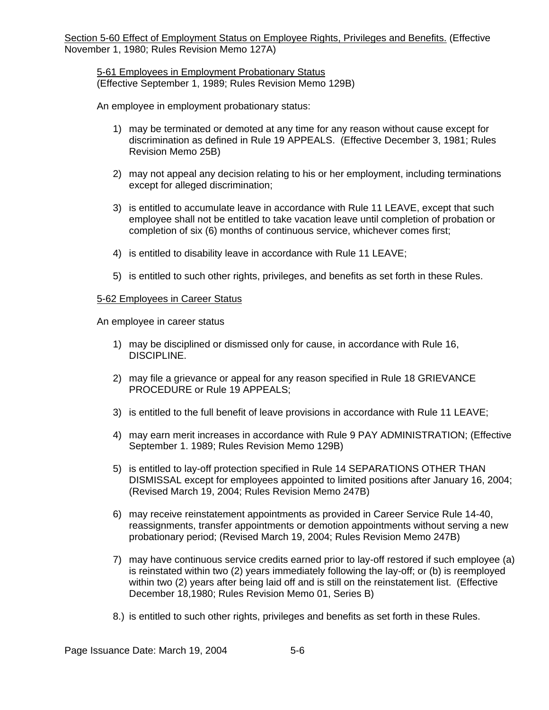# 5-61 Employees in Employment Probationary Status (Effective September 1, 1989; Rules Revision Memo 129B)

An employee in employment probationary status:

- 1) may be terminated or demoted at any time for any reason without cause except for discrimination as defined in Rule 19 APPEALS. (Effective December 3, 1981; Rules Revision Memo 25B)
- 2) may not appeal any decision relating to his or her employment, including terminations except for alleged discrimination;
- 3) is entitled to accumulate leave in accordance with Rule 11 LEAVE, except that such employee shall not be entitled to take vacation leave until completion of probation or completion of six (6) months of continuous service, whichever comes first;
- 4) is entitled to disability leave in accordance with Rule 11 LEAVE;
- 5) is entitled to such other rights, privileges, and benefits as set forth in these Rules.

# 5-62 Employees in Career Status

An employee in career status

- 1) may be disciplined or dismissed only for cause, in accordance with Rule 16, DISCIPLINE.
- 2) may file a grievance or appeal for any reason specified in Rule 18 GRIEVANCE PROCEDURE or Rule 19 APPEALS;
- 3) is entitled to the full benefit of leave provisions in accordance with Rule 11 LEAVE;
- 4) may earn merit increases in accordance with Rule 9 PAY ADMINISTRATION; (Effective September 1. 1989; Rules Revision Memo 129B)
- 5) is entitled to lay-off protection specified in Rule 14 SEPARATIONS OTHER THAN DISMISSAL except for employees appointed to limited positions after January 16, 2004; (Revised March 19, 2004; Rules Revision Memo 247B)
- 6) may receive reinstatement appointments as provided in Career Service Rule 14-40, reassignments, transfer appointments or demotion appointments without serving a new probationary period; (Revised March 19, 2004; Rules Revision Memo 247B)
- 7) may have continuous service credits earned prior to lay-off restored if such employee (a) is reinstated within two (2) years immediately following the lay-off; or (b) is reemployed within two (2) years after being laid off and is still on the reinstatement list. (Effective December 18,1980; Rules Revision Memo 01, Series B)
- 8.) is entitled to such other rights, privileges and benefits as set forth in these Rules.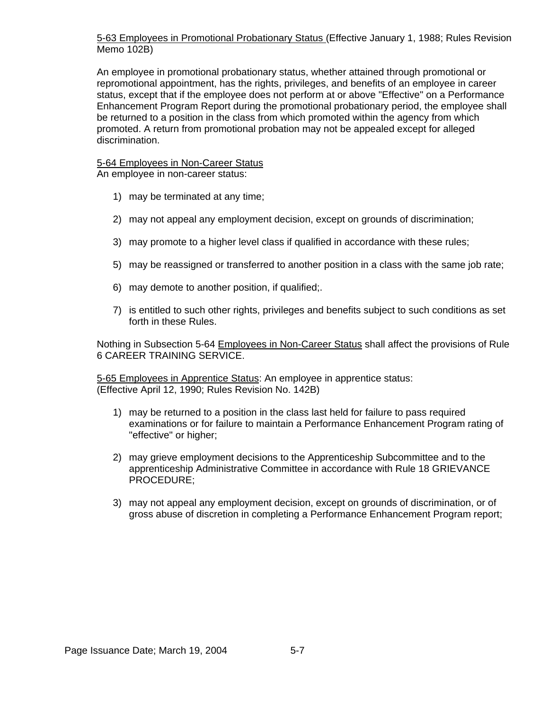5-63 Employees in Promotional Probationary Status (Effective January 1, 1988; Rules Revision Memo 102B)

An employee in promotional probationary status, whether attained through promotional or repromotional appointment, has the rights, privileges, and benefits of an employee in career status, except that if the employee does not perform at or above "Effective" on a Performance Enhancement Program Report during the promotional probationary period, the employee shall be returned to a position in the class from which promoted within the agency from which promoted. A return from promotional probation may not be appealed except for alleged discrimination.

5-64 Employees in Non-Career Status An employee in non-career status:

- 1) may be terminated at any time;
- 2) may not appeal any employment decision, except on grounds of discrimination;
- 3) may promote to a higher level class if qualified in accordance with these rules;
- 5) may be reassigned or transferred to another position in a class with the same job rate;
- 6) may demote to another position, if qualified;.
- 7) is entitled to such other rights, privileges and benefits subject to such conditions as set forth in these Rules.

Nothing in Subsection 5-64 Employees in Non-Career Status shall affect the provisions of Rule 6 CAREER TRAINING SERVICE.

5-65 Employees in Apprentice Status: An employee in apprentice status: (Effective April 12, 1990; Rules Revision No. 142B)

- 1) may be returned to a position in the class last held for failure to pass required examinations or for failure to maintain a Performance Enhancement Program rating of "effective" or higher;
- 2) may grieve employment decisions to the Apprenticeship Subcommittee and to the apprenticeship Administrative Committee in accordance with Rule 18 GRIEVANCE PROCEDURE;
- 3) may not appeal any employment decision, except on grounds of discrimination, or of gross abuse of discretion in completing a Performance Enhancement Program report;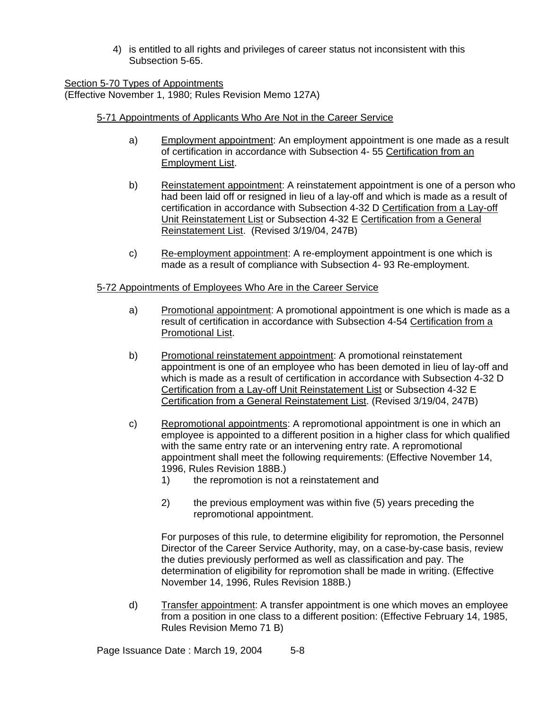4) is entitled to all rights and privileges of career status not inconsistent with this Subsection 5-65.

Section 5-70 Types of Appointments (Effective November 1, 1980; Rules Revision Memo 127A)

# 5-71 Appointments of Applicants Who Are Not in the Career Service

- a) Employment appointment: An employment appointment is one made as a result of certification in accordance with Subsection 4- 55 Certification from an Employment List.
- b) Reinstatement appointment: A reinstatement appointment is one of a person who had been laid off or resigned in lieu of a lay-off and which is made as a result of certification in accordance with Subsection 4-32 D Certification from a Lay-off Unit Reinstatement List or Subsection 4-32 E Certification from a General Reinstatement List. (Revised 3/19/04, 247B)
- c) Re-employment appointment: A re-employment appointment is one which is made as a result of compliance with Subsection 4- 93 Re-employment.

# 5-72 Appointments of Employees Who Are in the Career Service

- a) Promotional appointment: A promotional appointment is one which is made as a result of certification in accordance with Subsection 4-54 Certification from a Promotional List.
- b) Promotional reinstatement appointment: A promotional reinstatement appointment is one of an employee who has been demoted in lieu of lay-off and which is made as a result of certification in accordance with Subsection 4-32 D Certification from a Lay-off Unit Reinstatement List or Subsection 4-32 E Certification from a General Reinstatement List. (Revised 3/19/04, 247B)
- c) Repromotional appointments: A repromotional appointment is one in which an employee is appointed to a different position in a higher class for which qualified with the same entry rate or an intervening entry rate. A repromotional appointment shall meet the following requirements: (Effective November 14, 1996, Rules Revision 188B.)
	- 1) the repromotion is not a reinstatement and
	- 2) the previous employment was within five (5) years preceding the repromotional appointment.

For purposes of this rule, to determine eligibility for repromotion, the Personnel Director of the Career Service Authority, may, on a case-by-case basis, review the duties previously performed as well as classification and pay. The determination of eligibility for repromotion shall be made in writing. (Effective November 14, 1996, Rules Revision 188B.)

d) Transfer appointment: A transfer appointment is one which moves an employee from a position in one class to a different position: (Effective February 14, 1985, Rules Revision Memo 71 B)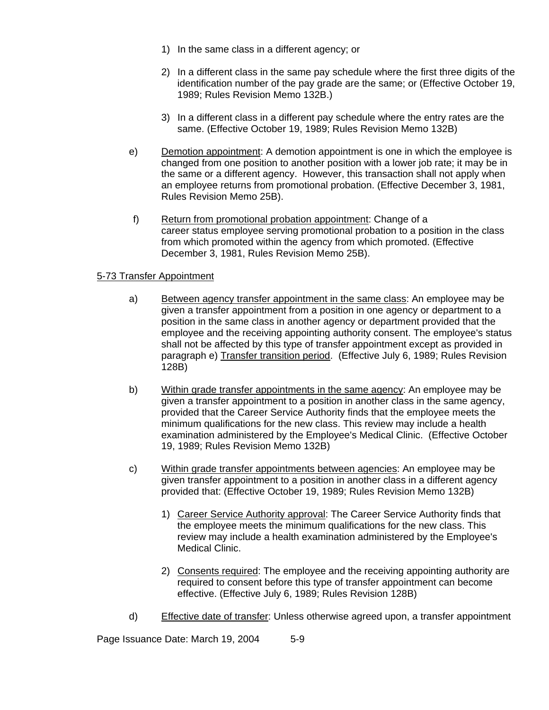- 1) In the same class in a different agency; or
- 2) In a different class in the same pay schedule where the first three digits of the identification number of the pay grade are the same; or (Effective October 19, 1989; Rules Revision Memo 132B.)
- 3) In a different class in a different pay schedule where the entry rates are the same. (Effective October 19, 1989; Rules Revision Memo 132B)
- e) Demotion appointment: A demotion appointment is one in which the employee is changed from one position to another position with a lower job rate; it may be in the same or a different agency. However, this transaction shall not apply when an employee returns from promotional probation. (Effective December 3, 1981, Rules Revision Memo 25B).
- f) Return from promotional probation appointment: Change of a career status employee serving promotional probation to a position in the class from which promoted within the agency from which promoted. (Effective December 3, 1981, Rules Revision Memo 25B).

# 5-73 Transfer Appointment

- a) Between agency transfer appointment in the same class: An employee may be given a transfer appointment from a position in one agency or department to a position in the same class in another agency or department provided that the employee and the receiving appointing authority consent. The employee's status shall not be affected by this type of transfer appointment except as provided in paragraph e) Transfer transition period. (Effective July 6, 1989; Rules Revision 128B)
- b) Within grade transfer appointments in the same agency: An employee may be given a transfer appointment to a position in another class in the same agency, provided that the Career Service Authority finds that the employee meets the minimum qualifications for the new class. This review may include a health examination administered by the Employee's Medical Clinic. (Effective October 19, 1989; Rules Revision Memo 132B)
- c) Within grade transfer appointments between agencies: An employee may be given transfer appointment to a position in another class in a different agency provided that: (Effective October 19, 1989; Rules Revision Memo 132B)
	- 1) Career Service Authority approval: The Career Service Authority finds that the employee meets the minimum qualifications for the new class. This review may include a health examination administered by the Employee's Medical Clinic.
	- 2) Consents required: The employee and the receiving appointing authority are required to consent before this type of transfer appointment can become effective. (Effective July 6, 1989; Rules Revision 128B)
- d) Effective date of transfer: Unless otherwise agreed upon, a transfer appointment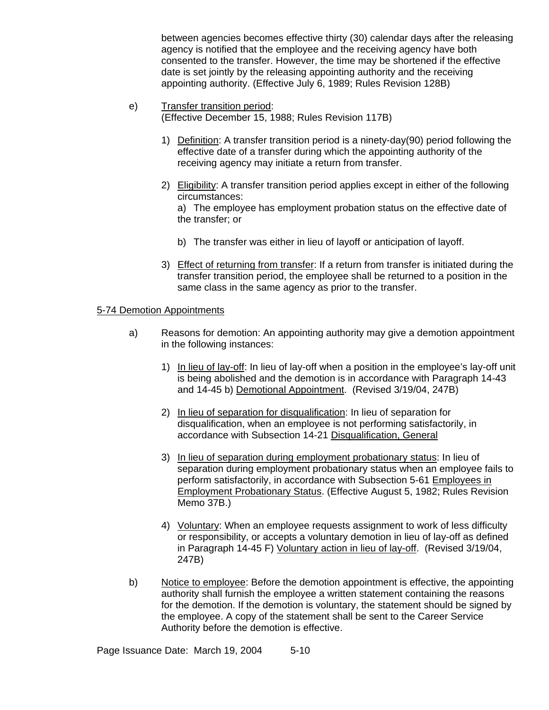between agencies becomes effective thirty (30) calendar days after the releasing agency is notified that the employee and the receiving agency have both consented to the transfer. However, the time may be shortened if the effective date is set jointly by the releasing appointing authority and the receiving appointing authority. (Effective July 6, 1989; Rules Revision 128B)

- e) Transfer transition period: (Effective December 15, 1988; Rules Revision 117B)
	- 1) Definition: A transfer transition period is a ninety-day(90) period following the effective date of a transfer during which the appointing authority of the receiving agency may initiate a return from transfer.
	- 2) Eligibility: A transfer transition period applies except in either of the following circumstances:

a) The employee has employment probation status on the effective date of the transfer; or

- b) The transfer was either in lieu of layoff or anticipation of layoff.
- 3) Effect of returning from transfer: If a return from transfer is initiated during the transfer transition period, the employee shall be returned to a position in the same class in the same agency as prior to the transfer.

# 5-74 Demotion Appointments

- a) Reasons for demotion: An appointing authority may give a demotion appointment in the following instances:
	- 1) In lieu of lay-off: In lieu of lay-off when a position in the employee's lay-off unit is being abolished and the demotion is in accordance with Paragraph 14-43 and 14-45 b) Demotional Appointment. (Revised 3/19/04, 247B)
	- 2) In lieu of separation for disqualification: In lieu of separation for disqualification, when an employee is not performing satisfactorily, in accordance with Subsection 14-21 Disqualification, General
	- 3) In lieu of separation during employment probationary status: In lieu of separation during employment probationary status when an employee fails to perform satisfactorily, in accordance with Subsection 5-61 Employees in Employment Probationary Status. (Effective August 5, 1982; Rules Revision Memo 37B.)
	- 4) Voluntary: When an employee requests assignment to work of less difficulty or responsibility, or accepts a voluntary demotion in lieu of lay-off as defined in Paragraph 14-45 F) Voluntary action in lieu of lay-off. (Revised 3/19/04, 247B)
- b) Notice to employee: Before the demotion appointment is effective, the appointing authority shall furnish the employee a written statement containing the reasons for the demotion. If the demotion is voluntary, the statement should be signed by the employee. A copy of the statement shall be sent to the Career Service Authority before the demotion is effective.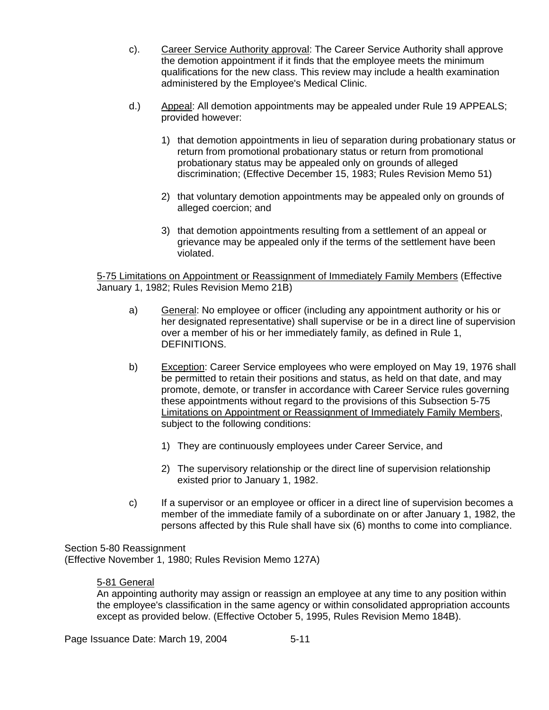- c). Career Service Authority approval: The Career Service Authority shall approve the demotion appointment if it finds that the employee meets the minimum qualifications for the new class. This review may include a health examination administered by the Employee's Medical Clinic.
- d.) Appeal: All demotion appointments may be appealed under Rule 19 APPEALS; provided however:
	- 1) that demotion appointments in lieu of separation during probationary status or return from promotional probationary status or return from promotional probationary status may be appealed only on grounds of alleged discrimination; (Effective December 15, 1983; Rules Revision Memo 51)
	- 2) that voluntary demotion appointments may be appealed only on grounds of alleged coercion; and
	- 3) that demotion appointments resulting from a settlement of an appeal or grievance may be appealed only if the terms of the settlement have been violated.

5-75 Limitations on Appointment or Reassignment of Immediately Family Members (Effective January 1, 1982; Rules Revision Memo 21B)

- a) General: No employee or officer (including any appointment authority or his or her designated representative) shall supervise or be in a direct line of supervision over a member of his or her immediately family, as defined in Rule 1, DEFINITIONS.
- b) Exception: Career Service employees who were employed on May 19, 1976 shall be permitted to retain their positions and status, as held on that date, and may promote, demote, or transfer in accordance with Career Service rules governing these appointments without regard to the provisions of this Subsection 5-75 Limitations on Appointment or Reassignment of Immediately Family Members, subject to the following conditions:
	- 1) They are continuously employees under Career Service, and
	- 2) The supervisory relationship or the direct line of supervision relationship existed prior to January 1, 1982.
- c) If a supervisor or an employee or officer in a direct line of supervision becomes a member of the immediate family of a subordinate on or after January 1, 1982, the persons affected by this Rule shall have six (6) months to come into compliance.

Section 5-80 Reassignment (Effective November 1, 1980; Rules Revision Memo 127A)

# 5-81 General

An appointing authority may assign or reassign an employee at any time to any position within the employee's classification in the same agency or within consolidated appropriation accounts except as provided below. (Effective October 5, 1995, Rules Revision Memo 184B).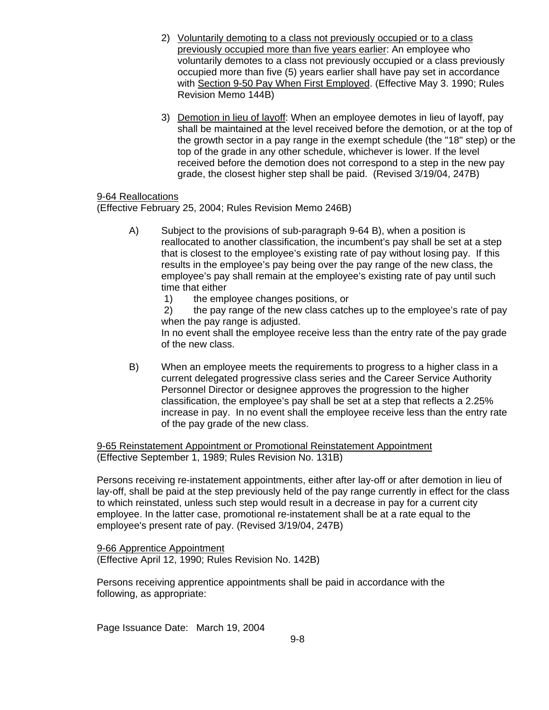- 2) Voluntarily demoting to a class not previously occupied or to a class previously occupied more than five years earlier: An employee who voluntarily demotes to a class not previously occupied or a class previously occupied more than five (5) years earlier shall have pay set in accordance with Section 9-50 Pay When First Employed. (Effective May 3. 1990; Rules Revision Memo 144B)
- 3) Demotion in lieu of layoff: When an employee demotes in lieu of layoff, pay shall be maintained at the level received before the demotion, or at the top of the growth sector in a pay range in the exempt schedule (the "18" step) or the top of the grade in any other schedule, whichever is lower. If the level received before the demotion does not correspond to a step in the new pay grade, the closest higher step shall be paid. (Revised 3/19/04, 247B)

# 9-64 Reallocations

(Effective February 25, 2004; Rules Revision Memo 246B)

- A) Subject to the provisions of sub-paragraph 9-64 B), when a position is reallocated to another classification, the incumbent's pay shall be set at a step that is closest to the employee's existing rate of pay without losing pay. If this results in the employee's pay being over the pay range of the new class, the employee's pay shall remain at the employee's existing rate of pay until such time that either
	- 1) the employee changes positions, or

 2) the pay range of the new class catches up to the employee's rate of pay when the pay range is adjusted.

In no event shall the employee receive less than the entry rate of the pay grade of the new class.

B) When an employee meets the requirements to progress to a higher class in a current delegated progressive class series and the Career Service Authority Personnel Director or designee approves the progression to the higher classification, the employee's pay shall be set at a step that reflects a 2.25% increase in pay. In no event shall the employee receive less than the entry rate of the pay grade of the new class.

9-65 Reinstatement Appointment or Promotional Reinstatement Appointment (Effective September 1, 1989; Rules Revision No. 131B)

Persons receiving re-instatement appointments, either after lay-off or after demotion in lieu of lay-off, shall be paid at the step previously held of the pay range currently in effect for the class to which reinstated, unless such step would result in a decrease in pay for a current city employee. In the latter case, promotional re-instatement shall be at a rate equal to the employee's present rate of pay. (Revised 3/19/04, 247B)

9-66 Apprentice Appointment (Effective April 12, 1990; Rules Revision No. 142B)

Persons receiving apprentice appointments shall be paid in accordance with the following, as appropriate: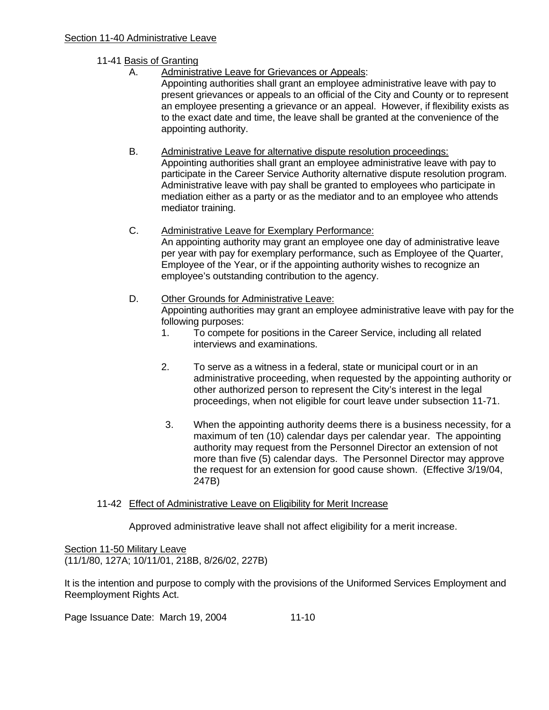# 11-41 Basis of Granting

A. Administrative Leave for Grievances or Appeals:

 Appointing authorities shall grant an employee administrative leave with pay to present grievances or appeals to an official of the City and County or to represent an employee presenting a grievance or an appeal. However, if flexibility exists as to the exact date and time, the leave shall be granted at the convenience of the appointing authority.

# B. Administrative Leave for alternative dispute resolution proceedings:

 Appointing authorities shall grant an employee administrative leave with pay to participate in the Career Service Authority alternative dispute resolution program. Administrative leave with pay shall be granted to employees who participate in mediation either as a party or as the mediator and to an employee who attends mediator training.

# C. Administrative Leave for Exemplary Performance:

 An appointing authority may grant an employee one day of administrative leave per year with pay for exemplary performance, such as Employee of the Quarter, Employee of the Year, or if the appointing authority wishes to recognize an employee's outstanding contribution to the agency.

# D. Other Grounds for Administrative Leave:

 Appointing authorities may grant an employee administrative leave with pay for the following purposes:

- 1. To compete for positions in the Career Service, including all related interviews and examinations.
- 2. To serve as a witness in a federal, state or municipal court or in an administrative proceeding, when requested by the appointing authority or other authorized person to represent the City's interest in the legal proceedings, when not eligible for court leave under subsection 11-71.
- 3. When the appointing authority deems there is a business necessity, for a maximum of ten (10) calendar days per calendar year. The appointing authority may request from the Personnel Director an extension of not more than five (5) calendar days. The Personnel Director may approve the request for an extension for good cause shown. (Effective 3/19/04, 247B)

### 11-42 Effect of Administrative Leave on Eligibility for Merit Increase

Approved administrative leave shall not affect eligibility for a merit increase.

Section 11-50 Military Leave (11/1/80, 127A; 10/11/01, 218B, 8/26/02, 227B)

It is the intention and purpose to comply with the provisions of the Uniformed Services Employment and Reemployment Rights Act.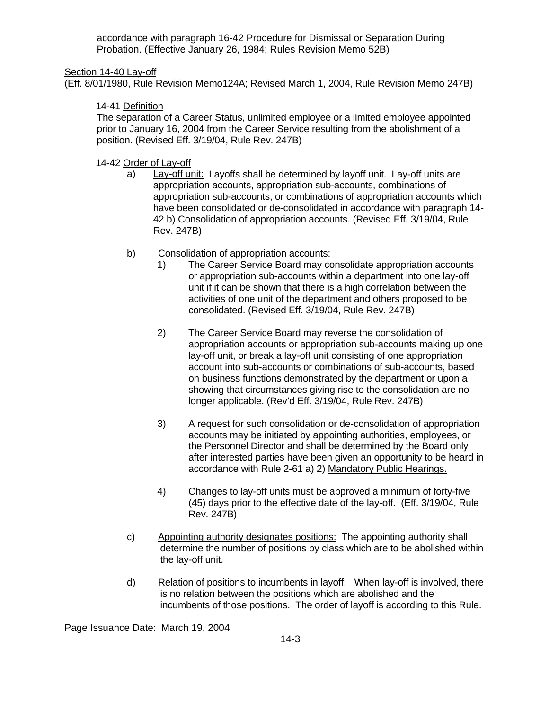accordance with paragraph 16-42 Procedure for Dismissal or Separation During Probation. (Effective January 26, 1984; Rules Revision Memo 52B)

Section 14-40 Lay-off

(Eff. 8/01/1980, Rule Revision Memo124A; Revised March 1, 2004, Rule Revision Memo 247B)

# 14-41 Definition

 The separation of a Career Status, unlimited employee or a limited employee appointed prior to January 16, 2004 from the Career Service resulting from the abolishment of a position. (Revised Eff. 3/19/04, Rule Rev. 247B)

14-42 Order of Lay-off

- a) Lay-off unit: Layoffs shall be determined by layoff unit. Lay-off units are appropriation accounts, appropriation sub-accounts, combinations of appropriation sub-accounts, or combinations of appropriation accounts which have been consolidated or de-consolidated in accordance with paragraph 14- 42 b) Consolidation of appropriation accounts. (Revised Eff. 3/19/04, Rule Rev. 247B)
- b) Consolidation of appropriation accounts:
	- 1) The Career Service Board may consolidate appropriation accounts or appropriation sub-accounts within a department into one lay-off unit if it can be shown that there is a high correlation between the activities of one unit of the department and others proposed to be consolidated. (Revised Eff. 3/19/04, Rule Rev. 247B)
	- 2) The Career Service Board may reverse the consolidation of appropriation accounts or appropriation sub-accounts making up one lay-off unit, or break a lay-off unit consisting of one appropriation account into sub-accounts or combinations of sub-accounts, based on business functions demonstrated by the department or upon a showing that circumstances giving rise to the consolidation are no longer applicable. (Rev'd Eff. 3/19/04, Rule Rev. 247B)
	- 3) A request for such consolidation or de-consolidation of appropriation accounts may be initiated by appointing authorities, employees, or the Personnel Director and shall be determined by the Board only after interested parties have been given an opportunity to be heard in accordance with Rule 2-61 a) 2) Mandatory Public Hearings.
	- 4) Changes to lay-off units must be approved a minimum of forty-five (45) days prior to the effective date of the lay-off. (Eff. 3/19/04, Rule Rev. 247B)
- c) Appointing authority designates positions: The appointing authority shall determine the number of positions by class which are to be abolished within the lay-off unit.
- d) Relation of positions to incumbents in layoff: When lay-off is involved, there is no relation between the positions which are abolished and the incumbents of those positions. The order of layoff is according to this Rule.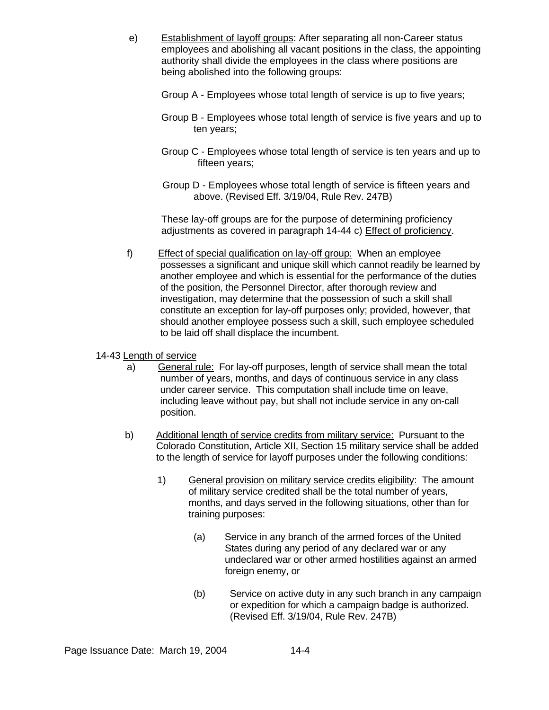- e) Establishment of layoff groups: After separating all non-Career status employees and abolishing all vacant positions in the class, the appointing authority shall divide the employees in the class where positions are being abolished into the following groups:
	- Group A Employees whose total length of service is up to five years;
	- Group B Employees whose total length of service is five years and up to ten years;
	- Group C Employees whose total length of service is ten years and up to fifteen years;
	- Group D Employees whose total length of service is fifteen years and above. (Revised Eff. 3/19/04, Rule Rev. 247B)

These lay-off groups are for the purpose of determining proficiency adjustments as covered in paragraph 14-44 c) Effect of proficiency.

 f) Effect of special qualification on lay-off group: When an employee possesses a significant and unique skill which cannot readily be learned by another employee and which is essential for the performance of the duties of the position, the Personnel Director, after thorough review and investigation, may determine that the possession of such a skill shall constitute an exception for lay-off purposes only; provided, however, that should another employee possess such a skill, such employee scheduled to be laid off shall displace the incumbent.

# 14-43 Length of service

- a) General rule: For lay-off purposes, length of service shall mean the total number of years, months, and days of continuous service in any class under career service. This computation shall include time on leave, including leave without pay, but shall not include service in any on-call position.
- b) Additional length of service credits from military service: Pursuant to the Colorado Constitution, Article XII, Section 15 military service shall be added to the length of service for layoff purposes under the following conditions:
	- 1) General provision on military service credits eligibility: The amount of military service credited shall be the total number of years, months, and days served in the following situations, other than for training purposes:
		- (a) Service in any branch of the armed forces of the United States during any period of any declared war or any undeclared war or other armed hostilities against an armed foreign enemy, or
		- (b) Service on active duty in any such branch in any campaign or expedition for which a campaign badge is authorized. (Revised Eff. 3/19/04, Rule Rev. 247B)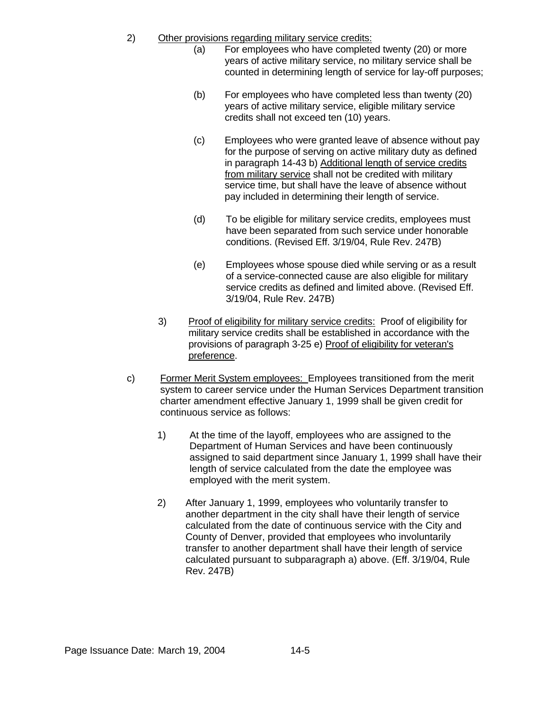- 2) Other provisions regarding military service credits:
	- (a) For employees who have completed twenty (20) or more years of active military service, no military service shall be counted in determining length of service for lay-off purposes;
	- (b) For employees who have completed less than twenty (20) years of active military service, eligible military service credits shall not exceed ten (10) years.
	- (c) Employees who were granted leave of absence without pay for the purpose of serving on active military duty as defined in paragraph 14-43 b) Additional length of service credits from military service shall not be credited with military service time, but shall have the leave of absence without pay included in determining their length of service.
	- (d) To be eligible for military service credits, employees must have been separated from such service under honorable conditions. (Revised Eff. 3/19/04, Rule Rev. 247B)
	- (e) Employees whose spouse died while serving or as a result of a service-connected cause are also eligible for military service credits as defined and limited above. (Revised Eff. 3/19/04, Rule Rev. 247B)
	- 3) Proof of eligibility for military service credits: Proof of eligibility for military service credits shall be established in accordance with the provisions of paragraph 3-25 e) Proof of eligibility for veteran's preference.
- c) Former Merit System employees: Employees transitioned from the merit system to career service under the Human Services Department transition charter amendment effective January 1, 1999 shall be given credit for continuous service as follows:
	- 1) At the time of the layoff, employees who are assigned to the Department of Human Services and have been continuously assigned to said department since January 1, 1999 shall have their length of service calculated from the date the employee was employed with the merit system.
	- 2) After January 1, 1999, employees who voluntarily transfer to another department in the city shall have their length of service calculated from the date of continuous service with the City and County of Denver, provided that employees who involuntarily transfer to another department shall have their length of service calculated pursuant to subparagraph a) above. (Eff. 3/19/04, Rule Rev. 247B)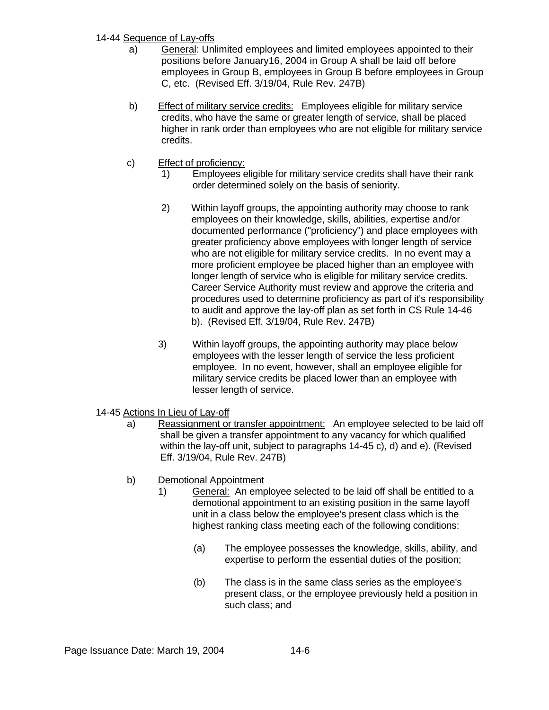# 14-44 Sequence of Lay-offs

- a) General: Unlimited employees and limited employees appointed to their positions before January16, 2004 in Group A shall be laid off before employees in Group B, employees in Group B before employees in Group C, etc. (Revised Eff. 3/19/04, Rule Rev. 247B)
- b) Effect of military service credits: Employees eligible for military service credits, who have the same or greater length of service, shall be placed higher in rank order than employees who are not eligible for military service credits.
- c) Effect of proficiency:
	- 1) Employees eligible for military service credits shall have their rank order determined solely on the basis of seniority.
	- 2) Within layoff groups, the appointing authority may choose to rank employees on their knowledge, skills, abilities, expertise and/or documented performance ("proficiency") and place employees with greater proficiency above employees with longer length of service who are not eligible for military service credits. In no event may a more proficient employee be placed higher than an employee with longer length of service who is eligible for military service credits. Career Service Authority must review and approve the criteria and procedures used to determine proficiency as part of it's responsibility to audit and approve the lay-off plan as set forth in CS Rule 14-46 b). (Revised Eff. 3/19/04, Rule Rev. 247B)
	- 3) Within layoff groups, the appointing authority may place below employees with the lesser length of service the less proficient employee. In no event, however, shall an employee eligible for military service credits be placed lower than an employee with lesser length of service.
- 14-45 Actions In Lieu of Lay-off
	- a) Reassignment or transfer appointment: An employee selected to be laid off shall be given a transfer appointment to any vacancy for which qualified within the lay-off unit, subject to paragraphs 14-45 c), d) and e). (Revised Eff. 3/19/04, Rule Rev. 247B)
	- b) Demotional Appointment
		- 1) General: An employee selected to be laid off shall be entitled to a demotional appointment to an existing position in the same layoff unit in a class below the employee's present class which is the highest ranking class meeting each of the following conditions:
			- (a) The employee possesses the knowledge, skills, ability, and expertise to perform the essential duties of the position;
			- (b) The class is in the same class series as the employee's present class, or the employee previously held a position in such class; and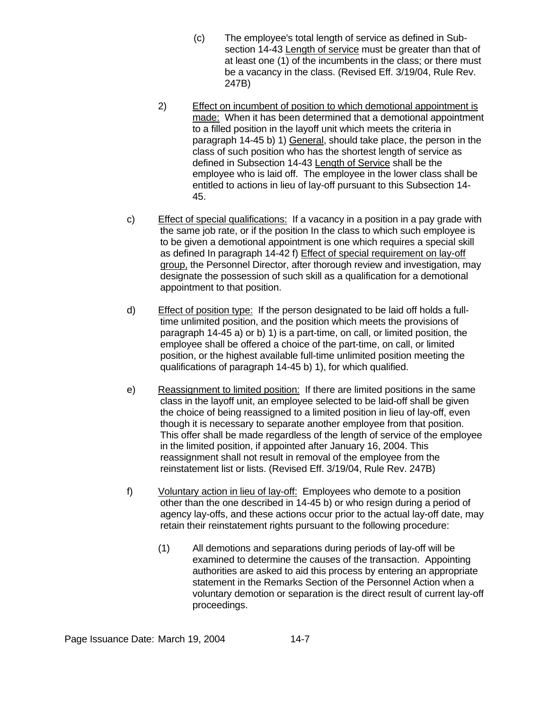- (c) The employee's total length of service as defined in Subsection 14-43 Length of service must be greater than that of at least one (1) of the incumbents in the class; or there must be a vacancy in the class. (Revised Eff. 3/19/04, Rule Rev. 247B)
- 2) Effect on incumbent of position to which demotional appointment is made: When it has been determined that a demotional appointment to a filled position in the layoff unit which meets the criteria in paragraph 14-45 b) 1) General, should take place, the person in the class of such position who has the shortest length of service as defined in Subsection 14-43 Length of Service shall be the employee who is laid off. The employee in the lower class shall be entitled to actions in lieu of lay-off pursuant to this Subsection 14- 45.
- c) Effect of special qualifications: If a vacancy in a position in a pay grade with the same job rate, or if the position In the class to which such employee is to be given a demotional appointment is one which requires a special skill as defined In paragraph 14-42 f) Effect of special requirement on lay-off group, the Personnel Director, after thorough review and investigation, may designate the possession of such skill as a qualification for a demotional appointment to that position.
- d) Effect of position type: If the person designated to be laid off holds a fulltime unlimited position, and the position which meets the provisions of paragraph 14-45 a) or b) 1) is a part-time, on call, or limited position, the employee shall be offered a choice of the part-time, on call, or limited position, or the highest available full-time unlimited position meeting the qualifications of paragraph 14-45 b) 1), for which qualified.
- e) Reassignment to limited position: If there are limited positions in the same class in the layoff unit, an employee selected to be laid-off shall be given the choice of being reassigned to a limited position in lieu of lay-off, even though it is necessary to separate another employee from that position. This offer shall be made regardless of the length of service of the employee in the limited position, if appointed after January 16, 2004. This reassignment shall not result in removal of the employee from the reinstatement list or lists. (Revised Eff. 3/19/04, Rule Rev. 247B)
- f) Voluntary action in lieu of lay-off: Employees who demote to a position other than the one described in 14-45 b) or who resign during a period of agency lay-offs, and these actions occur prior to the actual lay-off date, may retain their reinstatement rights pursuant to the following procedure:
	- (1) All demotions and separations during periods of lay-off will be examined to determine the causes of the transaction. Appointing authorities are asked to aid this process by entering an appropriate statement in the Remarks Section of the Personnel Action when a voluntary demotion or separation is the direct result of current lay-off proceedings.